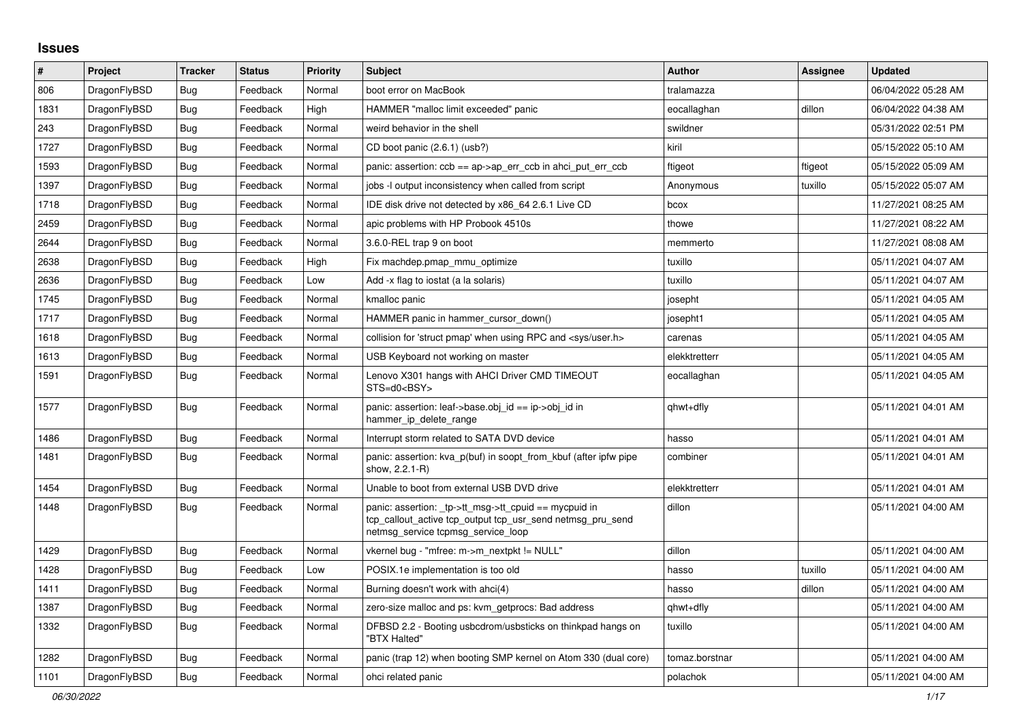## **Issues**

| $\pmb{\#}$ | Project      | <b>Tracker</b> | <b>Status</b> | <b>Priority</b> | <b>Subject</b>                                                                                                                                            | <b>Author</b>  | Assignee | <b>Updated</b>      |
|------------|--------------|----------------|---------------|-----------------|-----------------------------------------------------------------------------------------------------------------------------------------------------------|----------------|----------|---------------------|
| 806        | DragonFlyBSD | Bug            | Feedback      | Normal          | boot error on MacBook                                                                                                                                     | tralamazza     |          | 06/04/2022 05:28 AM |
| 1831       | DragonFlyBSD | Bug            | Feedback      | High            | HAMMER "malloc limit exceeded" panic                                                                                                                      | eocallaghan    | dillon   | 06/04/2022 04:38 AM |
| 243        | DragonFlyBSD | <b>Bug</b>     | Feedback      | Normal          | weird behavior in the shell                                                                                                                               | swildner       |          | 05/31/2022 02:51 PM |
| 1727       | DragonFlyBSD | Bug            | Feedback      | Normal          | CD boot panic (2.6.1) (usb?)                                                                                                                              | kiril          |          | 05/15/2022 05:10 AM |
| 1593       | DragonFlyBSD | <b>Bug</b>     | Feedback      | Normal          | panic: assertion: $ccb == ap > ap$ err $ccb$ in ahci put err $ccb$                                                                                        | ftigeot        | ftigeot  | 05/15/2022 05:09 AM |
| 1397       | DragonFlyBSD | <b>Bug</b>     | Feedback      | Normal          | jobs -I output inconsistency when called from script                                                                                                      | Anonymous      | tuxillo  | 05/15/2022 05:07 AM |
| 1718       | DragonFlyBSD | Bug            | Feedback      | Normal          | IDE disk drive not detected by x86_64 2.6.1 Live CD                                                                                                       | bcox           |          | 11/27/2021 08:25 AM |
| 2459       | DragonFlyBSD | Bug            | Feedback      | Normal          | apic problems with HP Probook 4510s                                                                                                                       | thowe          |          | 11/27/2021 08:22 AM |
| 2644       | DragonFlyBSD | Bug            | Feedback      | Normal          | 3.6.0-REL trap 9 on boot                                                                                                                                  | memmerto       |          | 11/27/2021 08:08 AM |
| 2638       | DragonFlyBSD | <b>Bug</b>     | Feedback      | High            | Fix machdep.pmap_mmu_optimize                                                                                                                             | tuxillo        |          | 05/11/2021 04:07 AM |
| 2636       | DragonFlyBSD | Bug            | Feedback      | Low             | Add -x flag to iostat (a la solaris)                                                                                                                      | tuxillo        |          | 05/11/2021 04:07 AM |
| 1745       | DragonFlyBSD | Bug            | Feedback      | Normal          | kmalloc panic                                                                                                                                             | josepht        |          | 05/11/2021 04:05 AM |
| 1717       | DragonFlyBSD | <b>Bug</b>     | Feedback      | Normal          | HAMMER panic in hammer cursor down()                                                                                                                      | josepht1       |          | 05/11/2021 04:05 AM |
| 1618       | DragonFlyBSD | Bug            | Feedback      | Normal          | collision for 'struct pmap' when using RPC and <sys user.h=""></sys>                                                                                      | carenas        |          | 05/11/2021 04:05 AM |
| 1613       | DragonFlyBSD | Bug            | Feedback      | Normal          | USB Keyboard not working on master                                                                                                                        | elekktretterr  |          | 05/11/2021 04:05 AM |
| 1591       | DragonFlyBSD | <b>Bug</b>     | Feedback      | Normal          | Lenovo X301 hangs with AHCI Driver CMD TIMEOUT<br>STS=d0 <bsy></bsy>                                                                                      | eocallaghan    |          | 05/11/2021 04:05 AM |
| 1577       | DragonFlyBSD | Bug            | Feedback      | Normal          | panic: assertion: leaf->base.obj id == ip->obj id in<br>hammer_ip_delete_range                                                                            | qhwt+dfly      |          | 05/11/2021 04:01 AM |
| 1486       | DragonFlyBSD | <b>Bug</b>     | Feedback      | Normal          | Interrupt storm related to SATA DVD device                                                                                                                | hasso          |          | 05/11/2021 04:01 AM |
| 1481       | DragonFlyBSD | Bug            | Feedback      | Normal          | panic: assertion: kva p(buf) in soopt from kbuf (after ipfw pipe<br>show, 2.2.1-R)                                                                        | combiner       |          | 05/11/2021 04:01 AM |
| 1454       | DragonFlyBSD | Bug            | Feedback      | Normal          | Unable to boot from external USB DVD drive                                                                                                                | elekktretterr  |          | 05/11/2021 04:01 AM |
| 1448       | DragonFlyBSD | Bug            | Feedback      | Normal          | panic: assertion: _tp->tt_msg->tt_cpuid == mycpuid in<br>tcp_callout_active tcp_output tcp_usr_send netmsg_pru_send<br>netmsg_service tcpmsg_service_loop | dillon         |          | 05/11/2021 04:00 AM |
| 1429       | DragonFlyBSD | Bug            | Feedback      | Normal          | vkernel bug - "mfree: m->m nextpkt != NULL"                                                                                                               | dillon         |          | 05/11/2021 04:00 AM |
| 1428       | DragonFlyBSD | Bug            | Feedback      | Low             | POSIX.1e implementation is too old                                                                                                                        | hasso          | tuxillo  | 05/11/2021 04:00 AM |
| 1411       | DragonFlyBSD | <b>Bug</b>     | Feedback      | Normal          | Burning doesn't work with ahci(4)                                                                                                                         | hasso          | dillon   | 05/11/2021 04:00 AM |
| 1387       | DragonFlyBSD | Bug            | Feedback      | Normal          | zero-size malloc and ps: kvm getprocs: Bad address                                                                                                        | qhwt+dfly      |          | 05/11/2021 04:00 AM |
| 1332       | DragonFlyBSD | Bug            | Feedback      | Normal          | DFBSD 2.2 - Booting usbcdrom/usbsticks on thinkpad hangs on<br>"BTX Halted"                                                                               | tuxillo        |          | 05/11/2021 04:00 AM |
| 1282       | DragonFlyBSD | Bug            | Feedback      | Normal          | panic (trap 12) when booting SMP kernel on Atom 330 (dual core)                                                                                           | tomaz.borstnar |          | 05/11/2021 04:00 AM |
| 1101       | DragonFlyBSD | <b>Bug</b>     | Feedback      | Normal          | ohci related panic                                                                                                                                        | polachok       |          | 05/11/2021 04:00 AM |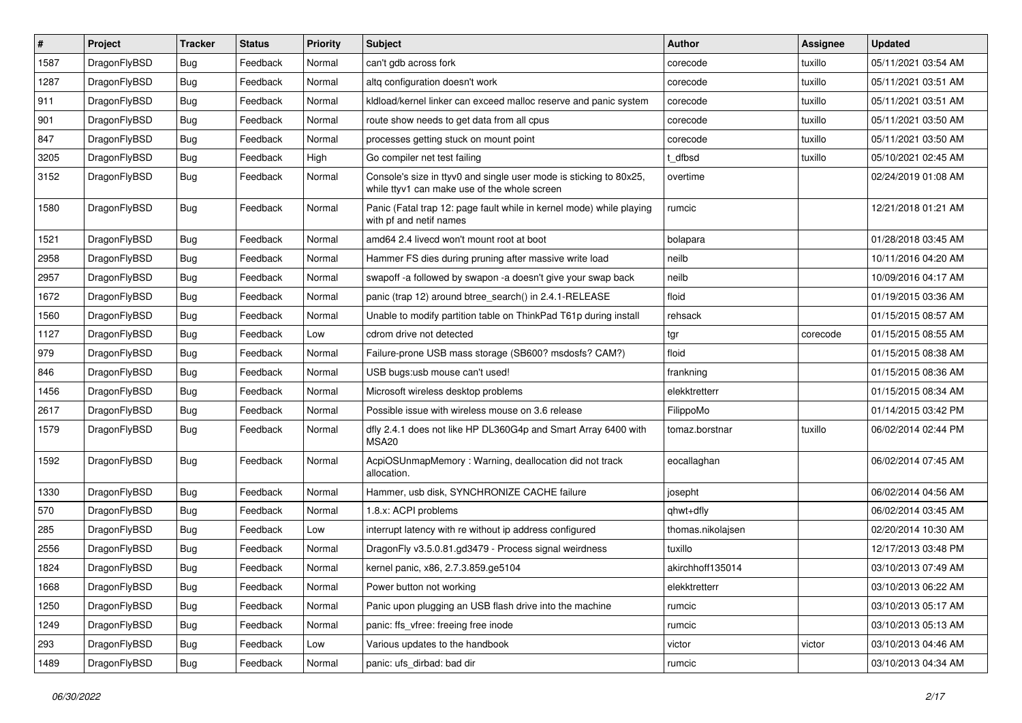| $\vert$ # | Project      | <b>Tracker</b> | <b>Status</b> | <b>Priority</b> | Subject                                                                                                            | <b>Author</b>     | Assignee | <b>Updated</b>      |
|-----------|--------------|----------------|---------------|-----------------|--------------------------------------------------------------------------------------------------------------------|-------------------|----------|---------------------|
| 1587      | DragonFlyBSD | Bug            | Feedback      | Normal          | can't gdb across fork                                                                                              | corecode          | tuxillo  | 05/11/2021 03:54 AM |
| 1287      | DragonFlyBSD | Bug            | Feedback      | Normal          | altq configuration doesn't work                                                                                    | corecode          | tuxillo  | 05/11/2021 03:51 AM |
| 911       | DragonFlyBSD | <b>Bug</b>     | Feedback      | Normal          | kldload/kernel linker can exceed malloc reserve and panic system                                                   | corecode          | tuxillo  | 05/11/2021 03:51 AM |
| 901       | DragonFlyBSD | <b>Bug</b>     | Feedback      | Normal          | route show needs to get data from all cpus                                                                         | corecode          | tuxillo  | 05/11/2021 03:50 AM |
| 847       | DragonFlyBSD | Bug            | Feedback      | Normal          | processes getting stuck on mount point                                                                             | corecode          | tuxillo  | 05/11/2021 03:50 AM |
| 3205      | DragonFlyBSD | <b>Bug</b>     | Feedback      | High            | Go compiler net test failing                                                                                       | t dfbsd           | tuxillo  | 05/10/2021 02:45 AM |
| 3152      | DragonFlyBSD | <b>Bug</b>     | Feedback      | Normal          | Console's size in ttyv0 and single user mode is sticking to 80x25,<br>while ttyv1 can make use of the whole screen | overtime          |          | 02/24/2019 01:08 AM |
| 1580      | DragonFlyBSD | Bug            | Feedback      | Normal          | Panic (Fatal trap 12: page fault while in kernel mode) while playing<br>with pf and netif names                    | rumcic            |          | 12/21/2018 01:21 AM |
| 1521      | DragonFlyBSD | Bug            | Feedback      | Normal          | amd64 2.4 livecd won't mount root at boot                                                                          | bolapara          |          | 01/28/2018 03:45 AM |
| 2958      | DragonFlyBSD | <b>Bug</b>     | Feedback      | Normal          | Hammer FS dies during pruning after massive write load                                                             | neilb             |          | 10/11/2016 04:20 AM |
| 2957      | DragonFlyBSD | Bug            | Feedback      | Normal          | swapoff -a followed by swapon -a doesn't give your swap back                                                       | neilb             |          | 10/09/2016 04:17 AM |
| 1672      | DragonFlyBSD | <b>Bug</b>     | Feedback      | Normal          | panic (trap 12) around btree search() in 2.4.1-RELEASE                                                             | floid             |          | 01/19/2015 03:36 AM |
| 1560      | DragonFlyBSD | <b>Bug</b>     | Feedback      | Normal          | Unable to modify partition table on ThinkPad T61p during install                                                   | rehsack           |          | 01/15/2015 08:57 AM |
| 1127      | DragonFlyBSD | <b>Bug</b>     | Feedback      | Low             | cdrom drive not detected                                                                                           | tgr               | corecode | 01/15/2015 08:55 AM |
| 979       | DragonFlyBSD | <b>Bug</b>     | Feedback      | Normal          | Failure-prone USB mass storage (SB600? msdosfs? CAM?)                                                              | floid             |          | 01/15/2015 08:38 AM |
| 846       | DragonFlyBSD | Bug            | Feedback      | Normal          | USB bugs:usb mouse can't used!                                                                                     | frankning         |          | 01/15/2015 08:36 AM |
| 1456      | DragonFlyBSD | <b>Bug</b>     | Feedback      | Normal          | Microsoft wireless desktop problems                                                                                | elekktretterr     |          | 01/15/2015 08:34 AM |
| 2617      | DragonFlyBSD | <b>Bug</b>     | Feedback      | Normal          | Possible issue with wireless mouse on 3.6 release                                                                  | FilippoMo         |          | 01/14/2015 03:42 PM |
| 1579      | DragonFlyBSD | Bug            | Feedback      | Normal          | dfly 2.4.1 does not like HP DL360G4p and Smart Array 6400 with<br>MSA <sub>20</sub>                                | tomaz.borstnar    | tuxillo  | 06/02/2014 02:44 PM |
| 1592      | DragonFlyBSD | Bug            | Feedback      | Normal          | AcpiOSUnmapMemory: Warning, deallocation did not track<br>allocation.                                              | eocallaghan       |          | 06/02/2014 07:45 AM |
| 1330      | DragonFlyBSD | Bug            | Feedback      | Normal          | Hammer, usb disk, SYNCHRONIZE CACHE failure                                                                        | josepht           |          | 06/02/2014 04:56 AM |
| 570       | DragonFlyBSD | Bug            | Feedback      | Normal          | 1.8.x: ACPI problems                                                                                               | qhwt+dfly         |          | 06/02/2014 03:45 AM |
| 285       | DragonFlyBSD | Bug            | Feedback      | Low             | interrupt latency with re without ip address configured                                                            | thomas.nikolaisen |          | 02/20/2014 10:30 AM |
| 2556      | DragonFlyBSD | Bug            | Feedback      | Normal          | DragonFly v3.5.0.81.gd3479 - Process signal weirdness                                                              | tuxillo           |          | 12/17/2013 03:48 PM |
| 1824      | DragonFlyBSD | Bug            | Feedback      | Normal          | kernel panic, x86, 2.7.3.859.ge5104                                                                                | akirchhoff135014  |          | 03/10/2013 07:49 AM |
| 1668      | DragonFlyBSD | <b>Bug</b>     | Feedback      | Normal          | Power button not working                                                                                           | elekktretterr     |          | 03/10/2013 06:22 AM |
| 1250      | DragonFlyBSD | Bug            | Feedback      | Normal          | Panic upon plugging an USB flash drive into the machine                                                            | rumcic            |          | 03/10/2013 05:17 AM |
| 1249      | DragonFlyBSD | <b>Bug</b>     | Feedback      | Normal          | panic: ffs vfree: freeing free inode                                                                               | rumcic            |          | 03/10/2013 05:13 AM |
| 293       | DragonFlyBSD | Bug            | Feedback      | Low             | Various updates to the handbook                                                                                    | victor            | victor   | 03/10/2013 04:46 AM |
| 1489      | DragonFlyBSD | <b>Bug</b>     | Feedback      | Normal          | panic: ufs_dirbad: bad dir                                                                                         | rumcic            |          | 03/10/2013 04:34 AM |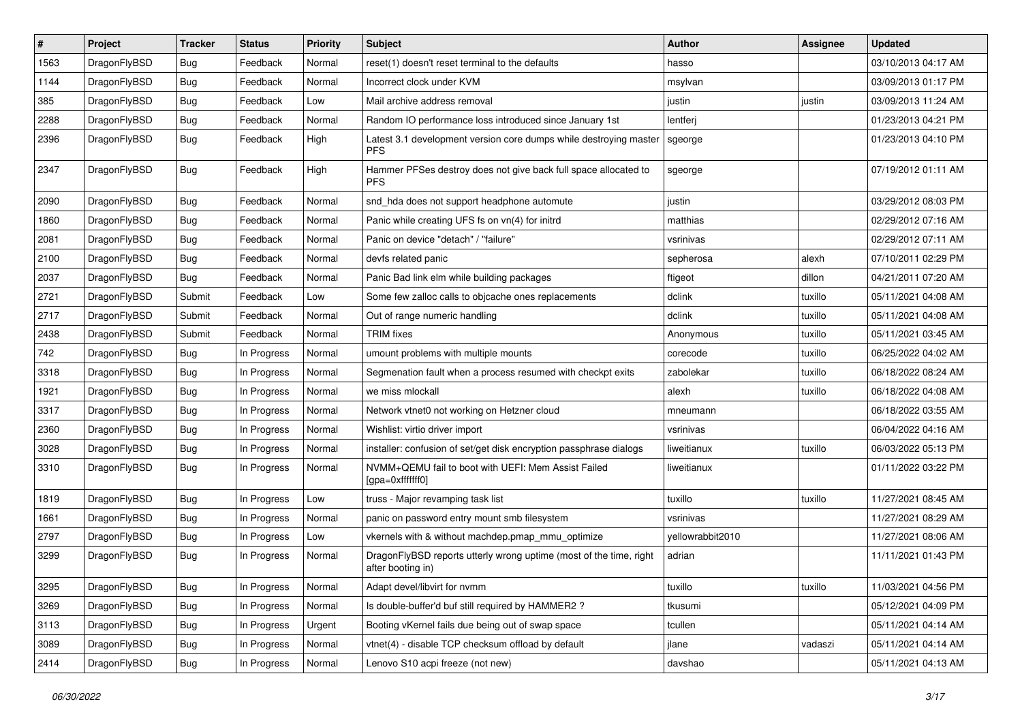| $\vert$ # | Project      | <b>Tracker</b> | <b>Status</b> | <b>Priority</b> | Subject                                                                                 | <b>Author</b>    | Assignee | <b>Updated</b>      |
|-----------|--------------|----------------|---------------|-----------------|-----------------------------------------------------------------------------------------|------------------|----------|---------------------|
| 1563      | DragonFlyBSD | <b>Bug</b>     | Feedback      | Normal          | reset(1) doesn't reset terminal to the defaults                                         | hasso            |          | 03/10/2013 04:17 AM |
| 1144      | DragonFlyBSD | <b>Bug</b>     | Feedback      | Normal          | Incorrect clock under KVM                                                               | msylvan          |          | 03/09/2013 01:17 PM |
| 385       | DragonFlyBSD | <b>Bug</b>     | Feedback      | Low             | Mail archive address removal                                                            | justin           | justin   | 03/09/2013 11:24 AM |
| 2288      | DragonFlyBSD | Bug            | Feedback      | Normal          | Random IO performance loss introduced since January 1st                                 | lentferj         |          | 01/23/2013 04:21 PM |
| 2396      | DragonFlyBSD | Bug            | Feedback      | High            | Latest 3.1 development version core dumps while destroying master<br><b>PFS</b>         | sgeorge          |          | 01/23/2013 04:10 PM |
| 2347      | DragonFlyBSD | Bug            | Feedback      | High            | Hammer PFSes destroy does not give back full space allocated to<br><b>PFS</b>           | sgeorge          |          | 07/19/2012 01:11 AM |
| 2090      | DragonFlyBSD | <b>Bug</b>     | Feedback      | Normal          | snd_hda does not support headphone automute                                             | justin           |          | 03/29/2012 08:03 PM |
| 1860      | DragonFlyBSD | <b>Bug</b>     | Feedback      | Normal          | Panic while creating UFS fs on vn(4) for initrd                                         | matthias         |          | 02/29/2012 07:16 AM |
| 2081      | DragonFlyBSD | <b>Bug</b>     | Feedback      | Normal          | Panic on device "detach" / "failure"                                                    | vsrinivas        |          | 02/29/2012 07:11 AM |
| 2100      | DragonFlyBSD | Bug            | Feedback      | Normal          | devfs related panic                                                                     | sepherosa        | alexh    | 07/10/2011 02:29 PM |
| 2037      | DragonFlyBSD | <b>Bug</b>     | Feedback      | Normal          | Panic Bad link elm while building packages                                              | ftigeot          | dillon   | 04/21/2011 07:20 AM |
| 2721      | DragonFlyBSD | Submit         | Feedback      | Low             | Some few zalloc calls to objcache ones replacements                                     | dclink           | tuxillo  | 05/11/2021 04:08 AM |
| 2717      | DragonFlyBSD | Submit         | Feedback      | Normal          | Out of range numeric handling                                                           | dclink           | tuxillo  | 05/11/2021 04:08 AM |
| 2438      | DragonFlyBSD | Submit         | Feedback      | Normal          | <b>TRIM</b> fixes                                                                       | Anonymous        | tuxillo  | 05/11/2021 03:45 AM |
| 742       | DragonFlyBSD | <b>Bug</b>     | In Progress   | Normal          | umount problems with multiple mounts                                                    | corecode         | tuxillo  | 06/25/2022 04:02 AM |
| 3318      | DragonFlyBSD | <b>Bug</b>     | In Progress   | Normal          | Segmenation fault when a process resumed with checkpt exits                             | zabolekar        | tuxillo  | 06/18/2022 08:24 AM |
| 1921      | DragonFlyBSD | <b>Bug</b>     | In Progress   | Normal          | we miss mlockall                                                                        | alexh            | tuxillo  | 06/18/2022 04:08 AM |
| 3317      | DragonFlyBSD | Bug            | In Progress   | Normal          | Network vtnet0 not working on Hetzner cloud                                             | mneumann         |          | 06/18/2022 03:55 AM |
| 2360      | DragonFlyBSD | <b>Bug</b>     | In Progress   | Normal          | Wishlist: virtio driver import                                                          | vsrinivas        |          | 06/04/2022 04:16 AM |
| 3028      | DragonFlyBSD | <b>Bug</b>     | In Progress   | Normal          | installer: confusion of set/get disk encryption passphrase dialogs                      | liweitianux      | tuxillo  | 06/03/2022 05:13 PM |
| 3310      | DragonFlyBSD | Bug            | In Progress   | Normal          | NVMM+QEMU fail to boot with UEFI: Mem Assist Failed<br>[gpa=0xfffffff0]                 | liweitianux      |          | 01/11/2022 03:22 PM |
| 1819      | DragonFlyBSD | <b>Bug</b>     | In Progress   | Low             | truss - Major revamping task list                                                       | tuxillo          | tuxillo  | 11/27/2021 08:45 AM |
| 1661      | DragonFlyBSD | Bug            | In Progress   | Normal          | panic on password entry mount smb filesystem                                            | vsrinivas        |          | 11/27/2021 08:29 AM |
| 2797      | DragonFlyBSD | <b>Bug</b>     | In Progress   | Low             | vkernels with & without machdep.pmap mmu optimize                                       | vellowrabbit2010 |          | 11/27/2021 08:06 AM |
| 3299      | DragonFlyBSD | <b>Bug</b>     | In Progress   | Normal          | DragonFlyBSD reports utterly wrong uptime (most of the time, right<br>after booting in) | adrian           |          | 11/11/2021 01:43 PM |
| 3295      | DragonFlyBSD | <b>Bug</b>     | In Progress   | Normal          | Adapt devel/libvirt for nvmm                                                            | tuxillo          | tuxillo  | 11/03/2021 04:56 PM |
| 3269      | DragonFlyBSD | <b>Bug</b>     | In Progress   | Normal          | Is double-buffer'd buf still required by HAMMER2 ?                                      | tkusumi          |          | 05/12/2021 04:09 PM |
| 3113      | DragonFlyBSD | <b>Bug</b>     | In Progress   | Urgent          | Booting vKernel fails due being out of swap space                                       | tcullen          |          | 05/11/2021 04:14 AM |
| 3089      | DragonFlyBSD | <b>Bug</b>     | In Progress   | Normal          | vtnet(4) - disable TCP checksum offload by default                                      | jlane            | vadaszi  | 05/11/2021 04:14 AM |
| 2414      | DragonFlyBSD | <b>Bug</b>     | In Progress   | Normal          | Lenovo S10 acpi freeze (not new)                                                        | davshao          |          | 05/11/2021 04:13 AM |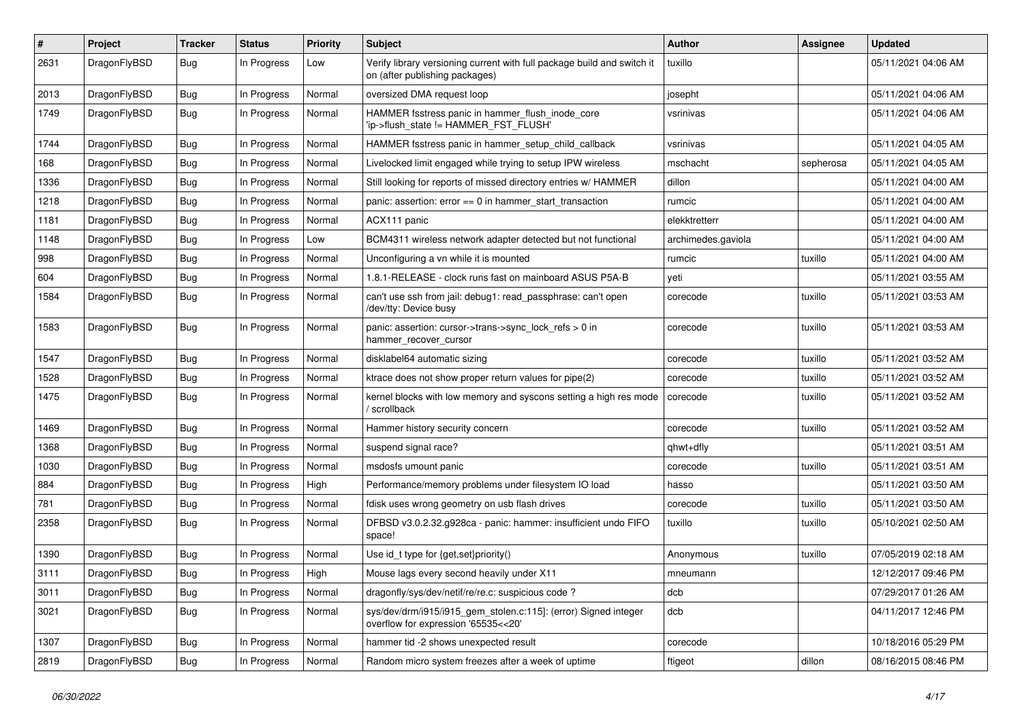| $\#$ | Project      | <b>Tracker</b> | <b>Status</b> | <b>Priority</b> | Subject                                                                                                   | <b>Author</b>      | <b>Assignee</b> | <b>Updated</b>      |
|------|--------------|----------------|---------------|-----------------|-----------------------------------------------------------------------------------------------------------|--------------------|-----------------|---------------------|
| 2631 | DragonFlyBSD | Bug            | In Progress   | Low             | Verify library versioning current with full package build and switch it<br>on (after publishing packages) | tuxillo            |                 | 05/11/2021 04:06 AM |
| 2013 | DragonFlyBSD | Bug            | In Progress   | Normal          | oversized DMA request loop                                                                                | josepht            |                 | 05/11/2021 04:06 AM |
| 1749 | DragonFlyBSD | Bug            | In Progress   | Normal          | HAMMER fsstress panic in hammer_flush_inode_core<br>'ip->flush_state != HAMMER_FST_FLUSH'                 | vsrinivas          |                 | 05/11/2021 04:06 AM |
| 1744 | DragonFlyBSD | Bug            | In Progress   | Normal          | HAMMER fsstress panic in hammer setup child callback                                                      | vsrinivas          |                 | 05/11/2021 04:05 AM |
| 168  | DragonFlyBSD | Bug            | In Progress   | Normal          | Livelocked limit engaged while trying to setup IPW wireless                                               | mschacht           | sepherosa       | 05/11/2021 04:05 AM |
| 1336 | DragonFlyBSD | Bug            | In Progress   | Normal          | Still looking for reports of missed directory entries w/ HAMMER                                           | dillon             |                 | 05/11/2021 04:00 AM |
| 1218 | DragonFlyBSD | Bug            | In Progress   | Normal          | panic: assertion: error == 0 in hammer_start_transaction                                                  | rumcic             |                 | 05/11/2021 04:00 AM |
| 1181 | DragonFlyBSD | Bug            | In Progress   | Normal          | ACX111 panic                                                                                              | elekktretterr      |                 | 05/11/2021 04:00 AM |
| 1148 | DragonFlyBSD | Bug            | In Progress   | Low             | BCM4311 wireless network adapter detected but not functional                                              | archimedes.gaviola |                 | 05/11/2021 04:00 AM |
| 998  | DragonFlyBSD | Bug            | In Progress   | Normal          | Unconfiguring a vn while it is mounted                                                                    | rumcic             | tuxillo         | 05/11/2021 04:00 AM |
| 604  | DragonFlyBSD | Bug            | In Progress   | Normal          | 1.8.1-RELEASE - clock runs fast on mainboard ASUS P5A-B                                                   | yeti               |                 | 05/11/2021 03:55 AM |
| 1584 | DragonFlyBSD | Bug            | In Progress   | Normal          | can't use ssh from jail: debug1: read_passphrase: can't open<br>/dev/tty: Device busy                     | corecode           | tuxillo         | 05/11/2021 03:53 AM |
| 1583 | DragonFlyBSD | Bug            | In Progress   | Normal          | panic: assertion: cursor->trans->sync_lock_refs > 0 in<br>hammer_recover_cursor                           | corecode           | tuxillo         | 05/11/2021 03:53 AM |
| 1547 | DragonFlyBSD | Bug            | In Progress   | Normal          | disklabel64 automatic sizing                                                                              | corecode           | tuxillo         | 05/11/2021 03:52 AM |
| 1528 | DragonFlyBSD | Bug            | In Progress   | Normal          | ktrace does not show proper return values for pipe(2)                                                     | corecode           | tuxillo         | 05/11/2021 03:52 AM |
| 1475 | DragonFlyBSD | Bug            | In Progress   | Normal          | kernel blocks with low memory and syscons setting a high res mode<br>/ scrollback                         | corecode           | tuxillo         | 05/11/2021 03:52 AM |
| 1469 | DragonFlyBSD | Bug            | In Progress   | Normal          | Hammer history security concern                                                                           | corecode           | tuxillo         | 05/11/2021 03:52 AM |
| 1368 | DragonFlyBSD | Bug            | In Progress   | Normal          | suspend signal race?                                                                                      | qhwt+dfly          |                 | 05/11/2021 03:51 AM |
| 1030 | DragonFlyBSD | Bug            | In Progress   | Normal          | msdosfs umount panic                                                                                      | corecode           | tuxillo         | 05/11/2021 03:51 AM |
| 884  | DragonFlyBSD | Bug            | In Progress   | High            | Performance/memory problems under filesystem IO load                                                      | hasso              |                 | 05/11/2021 03:50 AM |
| 781  | DragonFlyBSD | Bug            | In Progress   | Normal          | fdisk uses wrong geometry on usb flash drives                                                             | corecode           | tuxillo         | 05/11/2021 03:50 AM |
| 2358 | DragonFlyBSD | <b>Bug</b>     | In Progress   | Normal          | DFBSD v3.0.2.32.g928ca - panic: hammer: insufficient undo FIFO<br>space!                                  | tuxillo            | tuxillo         | 05/10/2021 02:50 AM |
| 1390 | DragonFlyBSD | Bug            | In Progress   | Normal          | Use id_t type for {get,set}priority()                                                                     | Anonymous          | tuxillo         | 07/05/2019 02:18 AM |
| 3111 | DragonFlyBSD | Bug            | In Progress   | High            | Mouse lags every second heavily under X11                                                                 | mneumann           |                 | 12/12/2017 09:46 PM |
| 3011 | DragonFlyBSD | <b>Bug</b>     | In Progress   | Normal          | dragonfly/sys/dev/netif/re/re.c: suspicious code?                                                         | dcb                |                 | 07/29/2017 01:26 AM |
| 3021 | DragonFlyBSD | <b>Bug</b>     | In Progress   | Normal          | sys/dev/drm/i915/i915_gem_stolen.c:115]: (error) Signed integer<br>overflow for expression '65535<<20'    | dcb                |                 | 04/11/2017 12:46 PM |
| 1307 | DragonFlyBSD | <b>Bug</b>     | In Progress   | Normal          | hammer tid -2 shows unexpected result                                                                     | corecode           |                 | 10/18/2016 05:29 PM |
| 2819 | DragonFlyBSD | <b>Bug</b>     | In Progress   | Normal          | Random micro system freezes after a week of uptime                                                        | ftigeot            | dillon          | 08/16/2015 08:46 PM |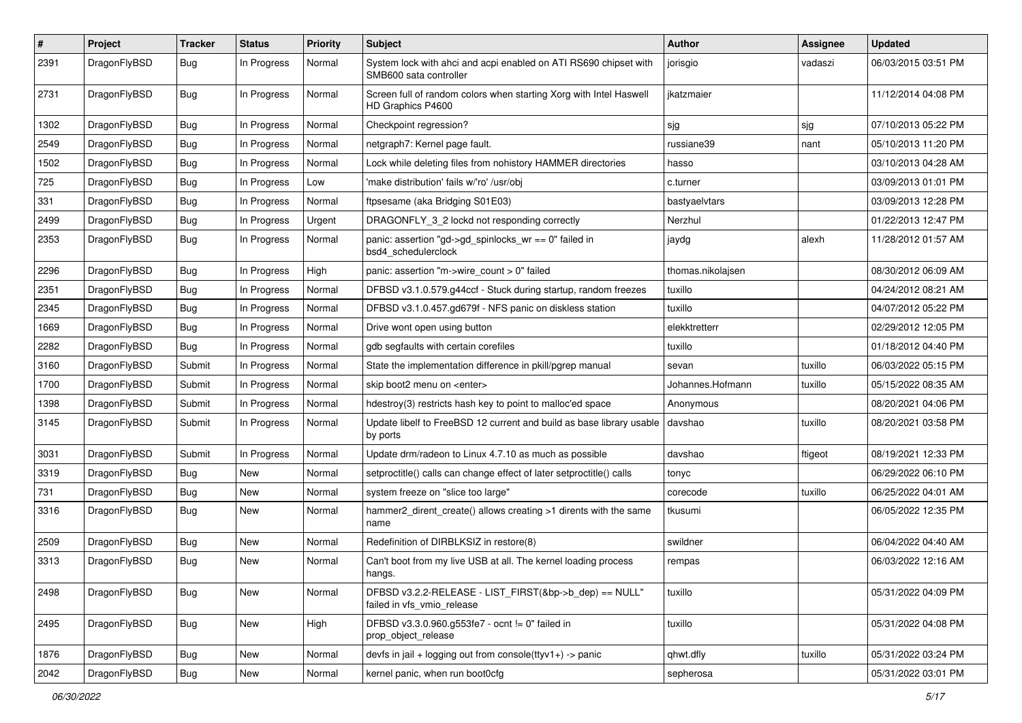| $\#$ | Project      | <b>Tracker</b> | <b>Status</b> | <b>Priority</b> | Subject                                                                                    | <b>Author</b>     | Assignee | <b>Updated</b>      |
|------|--------------|----------------|---------------|-----------------|--------------------------------------------------------------------------------------------|-------------------|----------|---------------------|
| 2391 | DragonFlyBSD | Bug            | In Progress   | Normal          | System lock with ahci and acpi enabled on ATI RS690 chipset with<br>SMB600 sata controller | jorisgio          | vadaszi  | 06/03/2015 03:51 PM |
| 2731 | DragonFlyBSD | Bug            | In Progress   | Normal          | Screen full of random colors when starting Xorg with Intel Haswell<br>HD Graphics P4600    | ikatzmaier        |          | 11/12/2014 04:08 PM |
| 1302 | DragonFlyBSD | Bug            | In Progress   | Normal          | Checkpoint regression?                                                                     | sjg               | sjg      | 07/10/2013 05:22 PM |
| 2549 | DragonFlyBSD | <b>Bug</b>     | In Progress   | Normal          | netgraph7: Kernel page fault.                                                              | russiane39        | nant     | 05/10/2013 11:20 PM |
| 1502 | DragonFlyBSD | <b>Bug</b>     | In Progress   | Normal          | Lock while deleting files from nohistory HAMMER directories                                | hasso             |          | 03/10/2013 04:28 AM |
| 725  | DragonFlyBSD | <b>Bug</b>     | In Progress   | Low             | 'make distribution' fails w/'ro' /usr/obj                                                  | c.turner          |          | 03/09/2013 01:01 PM |
| 331  | DragonFlyBSD | <b>Bug</b>     | In Progress   | Normal          | ftpsesame (aka Bridging S01E03)                                                            | bastyaelvtars     |          | 03/09/2013 12:28 PM |
| 2499 | DragonFlyBSD | Bug            | In Progress   | Urgent          | DRAGONFLY_3_2 lockd not responding correctly                                               | Nerzhul           |          | 01/22/2013 12:47 PM |
| 2353 | DragonFlyBSD | <b>Bug</b>     | In Progress   | Normal          | panic: assertion "gd->gd_spinlocks_wr == 0" failed in<br>bsd4 schedulerclock               | jaydg             | alexh    | 11/28/2012 01:57 AM |
| 2296 | DragonFlyBSD | Bug            | In Progress   | High            | panic: assertion "m->wire count > 0" failed                                                | thomas.nikolaisen |          | 08/30/2012 06:09 AM |
| 2351 | DragonFlyBSD | <b>Bug</b>     | In Progress   | Normal          | DFBSD v3.1.0.579.g44ccf - Stuck during startup, random freezes                             | tuxillo           |          | 04/24/2012 08:21 AM |
| 2345 | DragonFlyBSD | <b>Bug</b>     | In Progress   | Normal          | DFBSD v3.1.0.457.gd679f - NFS panic on diskless station                                    | tuxillo           |          | 04/07/2012 05:22 PM |
| 1669 | DragonFlyBSD | <b>Bug</b>     | In Progress   | Normal          | Drive wont open using button                                                               | elekktretterr     |          | 02/29/2012 12:05 PM |
| 2282 | DragonFlyBSD | <b>Bug</b>     | In Progress   | Normal          | gdb segfaults with certain corefiles                                                       | tuxillo           |          | 01/18/2012 04:40 PM |
| 3160 | DragonFlyBSD | Submit         | In Progress   | Normal          | State the implementation difference in pkill/pgrep manual                                  | sevan             | tuxillo  | 06/03/2022 05:15 PM |
| 1700 | DragonFlyBSD | Submit         | In Progress   | Normal          | skip boot2 menu on <enter></enter>                                                         | Johannes.Hofmann  | tuxillo  | 05/15/2022 08:35 AM |
| 1398 | DragonFlyBSD | Submit         | In Progress   | Normal          | hdestroy(3) restricts hash key to point to malloc'ed space                                 | Anonymous         |          | 08/20/2021 04:06 PM |
| 3145 | DragonFlyBSD | Submit         | In Progress   | Normal          | Update libelf to FreeBSD 12 current and build as base library usable<br>by ports           | davshao           | tuxillo  | 08/20/2021 03:58 PM |
| 3031 | DragonFlyBSD | Submit         | In Progress   | Normal          | Update drm/radeon to Linux 4.7.10 as much as possible                                      | davshao           | ftigeot  | 08/19/2021 12:33 PM |
| 3319 | DragonFlyBSD | <b>Bug</b>     | New           | Normal          | setproctitle() calls can change effect of later setproctitle() calls                       | tonyc             |          | 06/29/2022 06:10 PM |
| 731  | DragonFlyBSD | <b>Bug</b>     | New           | Normal          | system freeze on "slice too large"                                                         | corecode          | tuxillo  | 06/25/2022 04:01 AM |
| 3316 | DragonFlyBSD | Bug            | <b>New</b>    | Normal          | hammer2_dirent_create() allows creating >1 dirents with the same<br>name                   | tkusumi           |          | 06/05/2022 12:35 PM |
| 2509 | DragonFlyBSD | Bug            | <b>New</b>    | Normal          | Redefinition of DIRBLKSIZ in restore(8)                                                    | swildner          |          | 06/04/2022 04:40 AM |
| 3313 | DragonFlyBSD | Bug            | New           | Normal          | Can't boot from my live USB at all. The kernel loading process<br>hangs.                   | rempas            |          | 06/03/2022 12:16 AM |
| 2498 | DragonFlyBSD | <b>Bug</b>     | New           | Normal          | DFBSD v3.2.2-RELEASE - LIST_FIRST(&bp->b_dep) == NULL"<br>failed in vfs_vmio_release       | tuxillo           |          | 05/31/2022 04:09 PM |
| 2495 | DragonFlyBSD | <b>Bug</b>     | New           | High            | DFBSD v3.3.0.960.g553fe7 - ocnt != 0" failed in<br>prop_object_release                     | tuxillo           |          | 05/31/2022 04:08 PM |
| 1876 | DragonFlyBSD | Bug            | New           | Normal          | devfs in jail + logging out from console(ttyv1+) -> panic                                  | qhwt.dfly         | tuxillo  | 05/31/2022 03:24 PM |
| 2042 | DragonFlyBSD | <b>Bug</b>     | New           | Normal          | kernel panic, when run boot0cfg                                                            | sepherosa         |          | 05/31/2022 03:01 PM |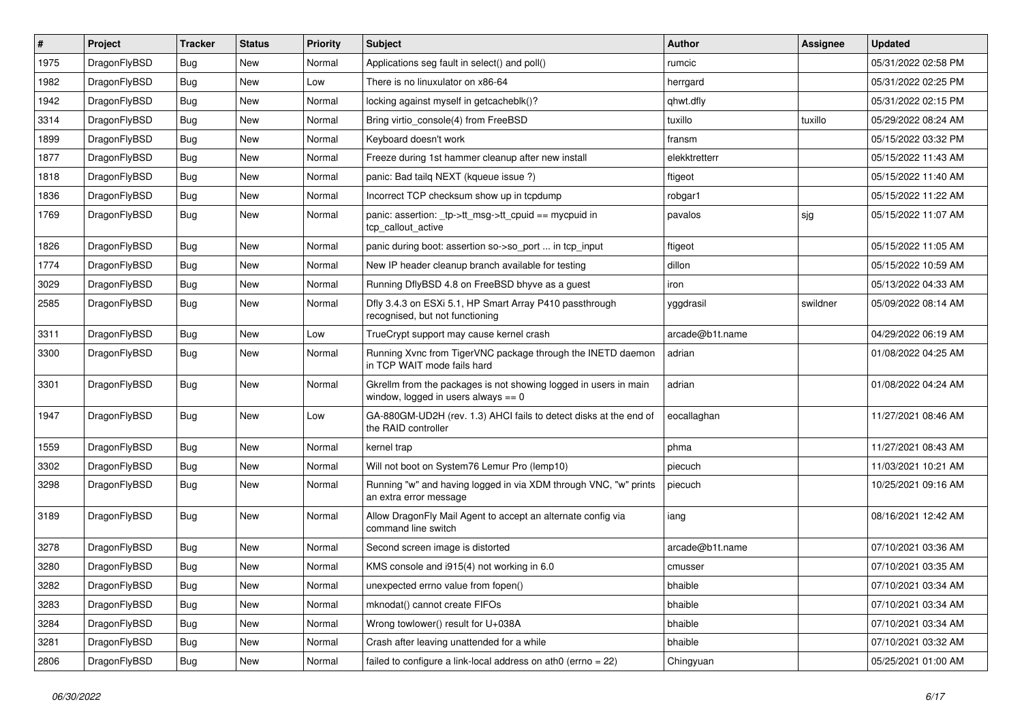| $\vert$ # | Project      | <b>Tracker</b> | <b>Status</b> | <b>Priority</b> | <b>Subject</b>                                                                                            | <b>Author</b>   | Assignee | <b>Updated</b>      |
|-----------|--------------|----------------|---------------|-----------------|-----------------------------------------------------------------------------------------------------------|-----------------|----------|---------------------|
| 1975      | DragonFlyBSD | Bug            | <b>New</b>    | Normal          | Applications seg fault in select() and poll()                                                             | rumcic          |          | 05/31/2022 02:58 PM |
| 1982      | DragonFlyBSD | <b>Bug</b>     | <b>New</b>    | Low             | There is no linuxulator on x86-64                                                                         | herrgard        |          | 05/31/2022 02:25 PM |
| 1942      | DragonFlyBSD | Bug            | <b>New</b>    | Normal          | locking against myself in getcacheblk()?                                                                  | qhwt.dfly       |          | 05/31/2022 02:15 PM |
| 3314      | DragonFlyBSD | Bug            | <b>New</b>    | Normal          | Bring virtio console(4) from FreeBSD                                                                      | tuxillo         | tuxillo  | 05/29/2022 08:24 AM |
| 1899      | DragonFlyBSD | <b>Bug</b>     | <b>New</b>    | Normal          | Keyboard doesn't work                                                                                     | fransm          |          | 05/15/2022 03:32 PM |
| 1877      | DragonFlyBSD | <b>Bug</b>     | <b>New</b>    | Normal          | Freeze during 1st hammer cleanup after new install                                                        | elekktretterr   |          | 05/15/2022 11:43 AM |
| 1818      | DragonFlyBSD | <b>Bug</b>     | <b>New</b>    | Normal          | panic: Bad tailq NEXT (kqueue issue ?)                                                                    | ftigeot         |          | 05/15/2022 11:40 AM |
| 1836      | DragonFlyBSD | <b>Bug</b>     | <b>New</b>    | Normal          | Incorrect TCP checksum show up in tcpdump                                                                 | robgar1         |          | 05/15/2022 11:22 AM |
| 1769      | DragonFlyBSD | Bug            | <b>New</b>    | Normal          | panic: assertion: _tp->tt_msg->tt_cpuid == mycpuid in<br>tcp callout active                               | pavalos         | sjg      | 05/15/2022 11:07 AM |
| 1826      | DragonFlyBSD | Bug            | <b>New</b>    | Normal          | panic during boot: assertion so->so_port  in tcp_input                                                    | ftigeot         |          | 05/15/2022 11:05 AM |
| 1774      | DragonFlyBSD | Bug            | <b>New</b>    | Normal          | New IP header cleanup branch available for testing                                                        | dillon          |          | 05/15/2022 10:59 AM |
| 3029      | DragonFlyBSD | <b>Bug</b>     | <b>New</b>    | Normal          | Running DflyBSD 4.8 on FreeBSD bhyve as a guest                                                           | iron            |          | 05/13/2022 04:33 AM |
| 2585      | DragonFlyBSD | Bug            | <b>New</b>    | Normal          | Dfly 3.4.3 on ESXi 5.1, HP Smart Array P410 passthrough<br>recognised, but not functioning                | yggdrasil       | swildner | 05/09/2022 08:14 AM |
| 3311      | DragonFlyBSD | Bug            | <b>New</b>    | Low             | TrueCrypt support may cause kernel crash                                                                  | arcade@b1t.name |          | 04/29/2022 06:19 AM |
| 3300      | DragonFlyBSD | Bug            | New           | Normal          | Running Xvnc from TigerVNC package through the INETD daemon<br>in TCP WAIT mode fails hard                | adrian          |          | 01/08/2022 04:25 AM |
| 3301      | DragonFlyBSD | Bug            | <b>New</b>    | Normal          | Gkrellm from the packages is not showing logged in users in main<br>window, logged in users always $== 0$ | adrian          |          | 01/08/2022 04:24 AM |
| 1947      | DragonFlyBSD | Bug            | New           | Low             | GA-880GM-UD2H (rev. 1.3) AHCI fails to detect disks at the end of<br>the RAID controller                  | eocallaghan     |          | 11/27/2021 08:46 AM |
| 1559      | DragonFlyBSD | Bug            | <b>New</b>    | Normal          | kernel trap                                                                                               | phma            |          | 11/27/2021 08:43 AM |
| 3302      | DragonFlyBSD | <b>Bug</b>     | <b>New</b>    | Normal          | Will not boot on System76 Lemur Pro (lemp10)                                                              | piecuch         |          | 11/03/2021 10:21 AM |
| 3298      | DragonFlyBSD | Bug            | <b>New</b>    | Normal          | Running "w" and having logged in via XDM through VNC, "w" prints<br>an extra error message                | piecuch         |          | 10/25/2021 09:16 AM |
| 3189      | DragonFlyBSD | Bug            | <b>New</b>    | Normal          | Allow DragonFly Mail Agent to accept an alternate config via<br>command line switch                       | iang            |          | 08/16/2021 12:42 AM |
| 3278      | DragonFlyBSD | <b>Bug</b>     | <b>New</b>    | Normal          | Second screen image is distorted                                                                          | arcade@b1t.name |          | 07/10/2021 03:36 AM |
| 3280      | DragonFlyBSD | Bug            | <b>New</b>    | Normal          | KMS console and i915(4) not working in 6.0                                                                | cmusser         |          | 07/10/2021 03:35 AM |
| 3282      | DragonFlyBSD | <b>Bug</b>     | New           | Normal          | unexpected errno value from fopen()                                                                       | bhaible         |          | 07/10/2021 03:34 AM |
| 3283      | DragonFlyBSD | <b>Bug</b>     | New           | Normal          | mknodat() cannot create FIFOs                                                                             | bhaible         |          | 07/10/2021 03:34 AM |
| 3284      | DragonFlyBSD | <b>Bug</b>     | New           | Normal          | Wrong towlower() result for U+038A                                                                        | bhaible         |          | 07/10/2021 03:34 AM |
| 3281      | DragonFlyBSD | <b>Bug</b>     | New           | Normal          | Crash after leaving unattended for a while                                                                | bhaible         |          | 07/10/2021 03:32 AM |
| 2806      | DragonFlyBSD | Bug            | New           | Normal          | failed to configure a link-local address on ath0 ( $\text{errno} = 22$ )                                  | Chingyuan       |          | 05/25/2021 01:00 AM |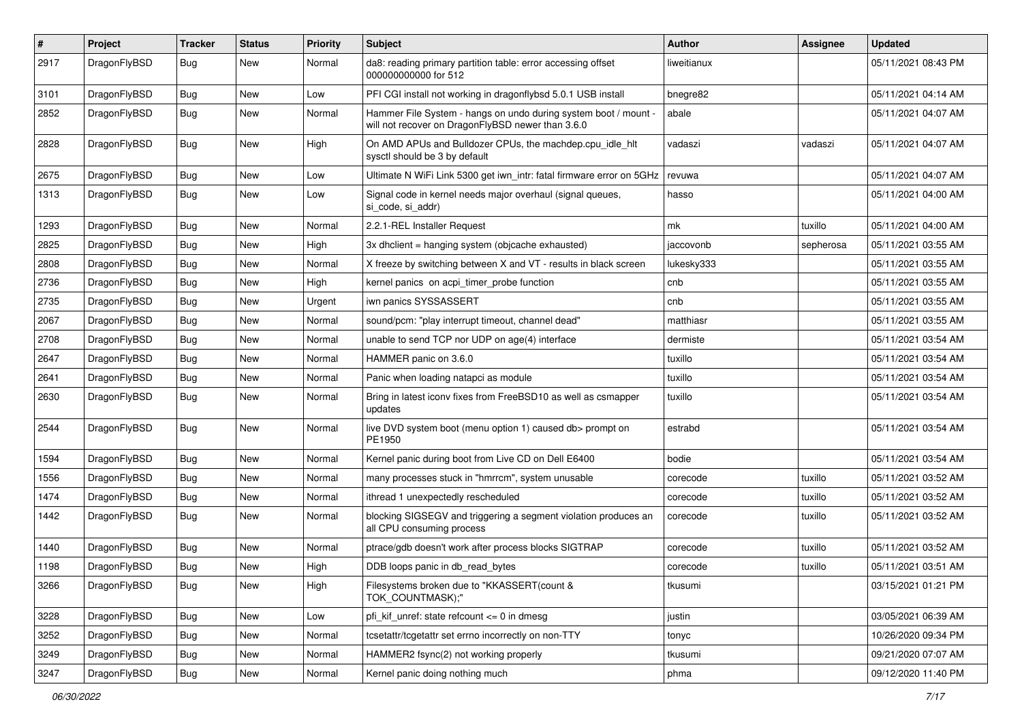| #    | Project      | <b>Tracker</b> | <b>Status</b> | <b>Priority</b> | Subject                                                                                                              | <b>Author</b> | Assignee  | <b>Updated</b>      |
|------|--------------|----------------|---------------|-----------------|----------------------------------------------------------------------------------------------------------------------|---------------|-----------|---------------------|
| 2917 | DragonFlyBSD | Bug            | New           | Normal          | da8: reading primary partition table: error accessing offset<br>000000000000 for 512                                 | liweitianux   |           | 05/11/2021 08:43 PM |
| 3101 | DragonFlyBSD | <b>Bug</b>     | <b>New</b>    | Low             | PFI CGI install not working in dragonflybsd 5.0.1 USB install                                                        | bnegre82      |           | 05/11/2021 04:14 AM |
| 2852 | DragonFlyBSD | <b>Bug</b>     | <b>New</b>    | Normal          | Hammer File System - hangs on undo during system boot / mount -<br>will not recover on DragonFlyBSD newer than 3.6.0 | abale         |           | 05/11/2021 04:07 AM |
| 2828 | DragonFlyBSD | Bug            | New           | High            | On AMD APUs and Bulldozer CPUs, the machdep.cpu_idle_hlt<br>sysctl should be 3 by default                            | vadaszi       | vadaszi   | 05/11/2021 04:07 AM |
| 2675 | DragonFlyBSD | Bug            | New           | Low             | Ultimate N WiFi Link 5300 get iwn_intr: fatal firmware error on 5GHz                                                 | revuwa        |           | 05/11/2021 04:07 AM |
| 1313 | DragonFlyBSD | <b>Bug</b>     | <b>New</b>    | Low             | Signal code in kernel needs major overhaul (signal queues,<br>si_code, si_addr)                                      | hasso         |           | 05/11/2021 04:00 AM |
| 1293 | DragonFlyBSD | Bug            | <b>New</b>    | Normal          | 2.2.1-REL Installer Request                                                                                          | mk            | tuxillo   | 05/11/2021 04:00 AM |
| 2825 | DragonFlyBSD | <b>Bug</b>     | New           | High            | 3x dhclient = hanging system (objcache exhausted)                                                                    | jaccovonb     | sepherosa | 05/11/2021 03:55 AM |
| 2808 | DragonFlyBSD | Bug            | <b>New</b>    | Normal          | X freeze by switching between X and VT - results in black screen                                                     | lukesky333    |           | 05/11/2021 03:55 AM |
| 2736 | DragonFlyBSD | <b>Bug</b>     | New           | High            | kernel panics on acpi timer probe function                                                                           | cnb           |           | 05/11/2021 03:55 AM |
| 2735 | DragonFlyBSD | <b>Bug</b>     | New           | Urgent          | iwn panics SYSSASSERT                                                                                                | cnb           |           | 05/11/2021 03:55 AM |
| 2067 | DragonFlyBSD | <b>Bug</b>     | New           | Normal          | sound/pcm: "play interrupt timeout, channel dead"                                                                    | matthiasr     |           | 05/11/2021 03:55 AM |
| 2708 | DragonFlyBSD | <b>Bug</b>     | New           | Normal          | unable to send TCP nor UDP on age(4) interface                                                                       | dermiste      |           | 05/11/2021 03:54 AM |
| 2647 | DragonFlyBSD | Bug            | <b>New</b>    | Normal          | HAMMER panic on 3.6.0                                                                                                | tuxillo       |           | 05/11/2021 03:54 AM |
| 2641 | DragonFlyBSD | <b>Bug</b>     | New           | Normal          | Panic when loading natapci as module                                                                                 | tuxillo       |           | 05/11/2021 03:54 AM |
| 2630 | DragonFlyBSD | <b>Bug</b>     | <b>New</b>    | Normal          | Bring in latest iconv fixes from FreeBSD10 as well as csmapper<br>updates                                            | tuxillo       |           | 05/11/2021 03:54 AM |
| 2544 | DragonFlyBSD | Bug            | New           | Normal          | live DVD system boot (menu option 1) caused db> prompt on<br>PE1950                                                  | estrabd       |           | 05/11/2021 03:54 AM |
| 1594 | DragonFlyBSD | Bug            | <b>New</b>    | Normal          | Kernel panic during boot from Live CD on Dell E6400                                                                  | bodie         |           | 05/11/2021 03:54 AM |
| 1556 | DragonFlyBSD | <b>Bug</b>     | New           | Normal          | many processes stuck in "hmrrcm", system unusable                                                                    | corecode      | tuxillo   | 05/11/2021 03:52 AM |
| 1474 | DragonFlyBSD | Bug            | <b>New</b>    | Normal          | ithread 1 unexpectedly rescheduled                                                                                   | corecode      | tuxillo   | 05/11/2021 03:52 AM |
| 1442 | DragonFlyBSD | <b>Bug</b>     | New           | Normal          | blocking SIGSEGV and triggering a segment violation produces an<br>all CPU consuming process                         | corecode      | tuxillo   | 05/11/2021 03:52 AM |
| 1440 | DragonFlyBSD | Bug            | New           | Normal          | ptrace/gdb doesn't work after process blocks SIGTRAP                                                                 | corecode      | tuxillo   | 05/11/2021 03:52 AM |
| 1198 | DragonFlyBSD | Bug            | <b>New</b>    | High            | DDB loops panic in db read bytes                                                                                     | corecode      | tuxillo   | 05/11/2021 03:51 AM |
| 3266 | DragonFlyBSD | <b>Bug</b>     | New           | High            | Filesystems broken due to "KKASSERT(count &<br>TOK_COUNTMASK);"                                                      | tkusumi       |           | 03/15/2021 01:21 PM |
| 3228 | DragonFlyBSD | <b>Bug</b>     | New           | Low             | pfi_kif_unref: state refcount <= 0 in dmesg                                                                          | justin        |           | 03/05/2021 06:39 AM |
| 3252 | DragonFlyBSD | Bug            | New           | Normal          | tcsetattr/tcgetattr set errno incorrectly on non-TTY                                                                 | tonyc         |           | 10/26/2020 09:34 PM |
| 3249 | DragonFlyBSD | <b>Bug</b>     | New           | Normal          | HAMMER2 fsync(2) not working properly                                                                                | tkusumi       |           | 09/21/2020 07:07 AM |
| 3247 | DragonFlyBSD | <b>Bug</b>     | New           | Normal          | Kernel panic doing nothing much                                                                                      | phma          |           | 09/12/2020 11:40 PM |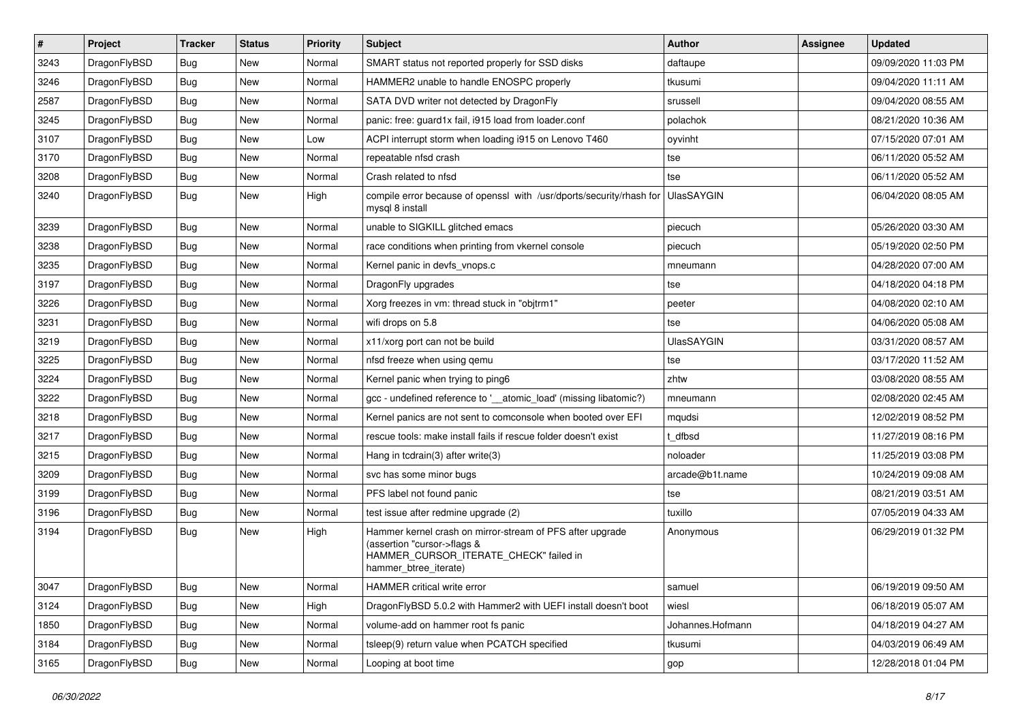| $\sharp$ | Project      | <b>Tracker</b> | <b>Status</b> | <b>Priority</b> | Subject                                                                                                                                                     | <b>Author</b>     | Assignee | <b>Updated</b>      |
|----------|--------------|----------------|---------------|-----------------|-------------------------------------------------------------------------------------------------------------------------------------------------------------|-------------------|----------|---------------------|
| 3243     | DragonFlyBSD | <b>Bug</b>     | New           | Normal          | SMART status not reported properly for SSD disks                                                                                                            | daftaupe          |          | 09/09/2020 11:03 PM |
| 3246     | DragonFlyBSD | Bug            | New           | Normal          | HAMMER2 unable to handle ENOSPC properly                                                                                                                    | tkusumi           |          | 09/04/2020 11:11 AM |
| 2587     | DragonFlyBSD | <b>Bug</b>     | <b>New</b>    | Normal          | SATA DVD writer not detected by DragonFly                                                                                                                   | srussell          |          | 09/04/2020 08:55 AM |
| 3245     | DragonFlyBSD | <b>Bug</b>     | New           | Normal          | panic: free: guard1x fail, i915 load from loader.conf                                                                                                       | polachok          |          | 08/21/2020 10:36 AM |
| 3107     | DragonFlyBSD | Bug            | <b>New</b>    | Low             | ACPI interrupt storm when loading i915 on Lenovo T460                                                                                                       | oyvinht           |          | 07/15/2020 07:01 AM |
| 3170     | DragonFlyBSD | Bug            | <b>New</b>    | Normal          | repeatable nfsd crash                                                                                                                                       | tse               |          | 06/11/2020 05:52 AM |
| 3208     | DragonFlyBSD | Bug            | New           | Normal          | Crash related to nfsd                                                                                                                                       | tse               |          | 06/11/2020 05:52 AM |
| 3240     | DragonFlyBSD | Bug            | <b>New</b>    | High            | compile error because of openssl with /usr/dports/security/rhash for<br>mysql 8 install                                                                     | <b>UlasSAYGIN</b> |          | 06/04/2020 08:05 AM |
| 3239     | DragonFlyBSD | Bug            | <b>New</b>    | Normal          | unable to SIGKILL glitched emacs                                                                                                                            | piecuch           |          | 05/26/2020 03:30 AM |
| 3238     | DragonFlyBSD | Bug            | <b>New</b>    | Normal          | race conditions when printing from vkernel console                                                                                                          | piecuch           |          | 05/19/2020 02:50 PM |
| 3235     | DragonFlyBSD | Bug            | New           | Normal          | Kernel panic in devfs vnops.c                                                                                                                               | mneumann          |          | 04/28/2020 07:00 AM |
| 3197     | DragonFlyBSD | Bug            | New           | Normal          | DragonFly upgrades                                                                                                                                          | tse               |          | 04/18/2020 04:18 PM |
| 3226     | DragonFlyBSD | Bug            | <b>New</b>    | Normal          | Xorg freezes in vm: thread stuck in "objtrm1"                                                                                                               | peeter            |          | 04/08/2020 02:10 AM |
| 3231     | DragonFlyBSD | Bug            | New           | Normal          | wifi drops on 5.8                                                                                                                                           | tse               |          | 04/06/2020 05:08 AM |
| 3219     | DragonFlyBSD | Bug            | <b>New</b>    | Normal          | x11/xorg port can not be build                                                                                                                              | <b>UlasSAYGIN</b> |          | 03/31/2020 08:57 AM |
| 3225     | DragonFlyBSD | Bug            | New           | Normal          | nfsd freeze when using gemu                                                                                                                                 | tse               |          | 03/17/2020 11:52 AM |
| 3224     | DragonFlyBSD | Bug            | <b>New</b>    | Normal          | Kernel panic when trying to ping6                                                                                                                           | zhtw              |          | 03/08/2020 08:55 AM |
| 3222     | DragonFlyBSD | Bug            | New           | Normal          | gcc - undefined reference to '__atomic_load' (missing libatomic?)                                                                                           | mneumann          |          | 02/08/2020 02:45 AM |
| 3218     | DragonFlyBSD | Bug            | New           | Normal          | Kernel panics are not sent to comconsole when booted over EFI                                                                                               | mqudsi            |          | 12/02/2019 08:52 PM |
| 3217     | DragonFlyBSD | Bug            | New           | Normal          | rescue tools: make install fails if rescue folder doesn't exist                                                                                             | t dfbsd           |          | 11/27/2019 08:16 PM |
| 3215     | DragonFlyBSD | Bug            | <b>New</b>    | Normal          | Hang in tcdrain(3) after write(3)                                                                                                                           | noloader          |          | 11/25/2019 03:08 PM |
| 3209     | DragonFlyBSD | Bug            | <b>New</b>    | Normal          | svc has some minor bugs                                                                                                                                     | arcade@b1t.name   |          | 10/24/2019 09:08 AM |
| 3199     | DragonFlyBSD | <b>Bug</b>     | New           | Normal          | PFS label not found panic                                                                                                                                   | tse               |          | 08/21/2019 03:51 AM |
| 3196     | DragonFlyBSD | <b>Bug</b>     | New           | Normal          | test issue after redmine upgrade (2)                                                                                                                        | tuxillo           |          | 07/05/2019 04:33 AM |
| 3194     | DragonFlyBSD | <b>Bug</b>     | <b>New</b>    | High            | Hammer kernel crash on mirror-stream of PFS after upgrade<br>(assertion "cursor->flags &<br>HAMMER_CURSOR_ITERATE_CHECK" failed in<br>hammer_btree_iterate) | Anonymous         |          | 06/29/2019 01:32 PM |
| 3047     | DragonFlyBSD | <b>Bug</b>     | New           | Normal          | HAMMER critical write error                                                                                                                                 | samuel            |          | 06/19/2019 09:50 AM |
| 3124     | DragonFlyBSD | <b>Bug</b>     | <b>New</b>    | High            | DragonFlyBSD 5.0.2 with Hammer2 with UEFI install doesn't boot                                                                                              | wiesl             |          | 06/18/2019 05:07 AM |
| 1850     | DragonFlyBSD | <b>Bug</b>     | New           | Normal          | volume-add on hammer root fs panic                                                                                                                          | Johannes.Hofmann  |          | 04/18/2019 04:27 AM |
| 3184     | DragonFlyBSD | <b>Bug</b>     | New           | Normal          | tsleep(9) return value when PCATCH specified                                                                                                                | tkusumi           |          | 04/03/2019 06:49 AM |
| 3165     | DragonFlyBSD | <b>Bug</b>     | New           | Normal          | Looping at boot time                                                                                                                                        | gop               |          | 12/28/2018 01:04 PM |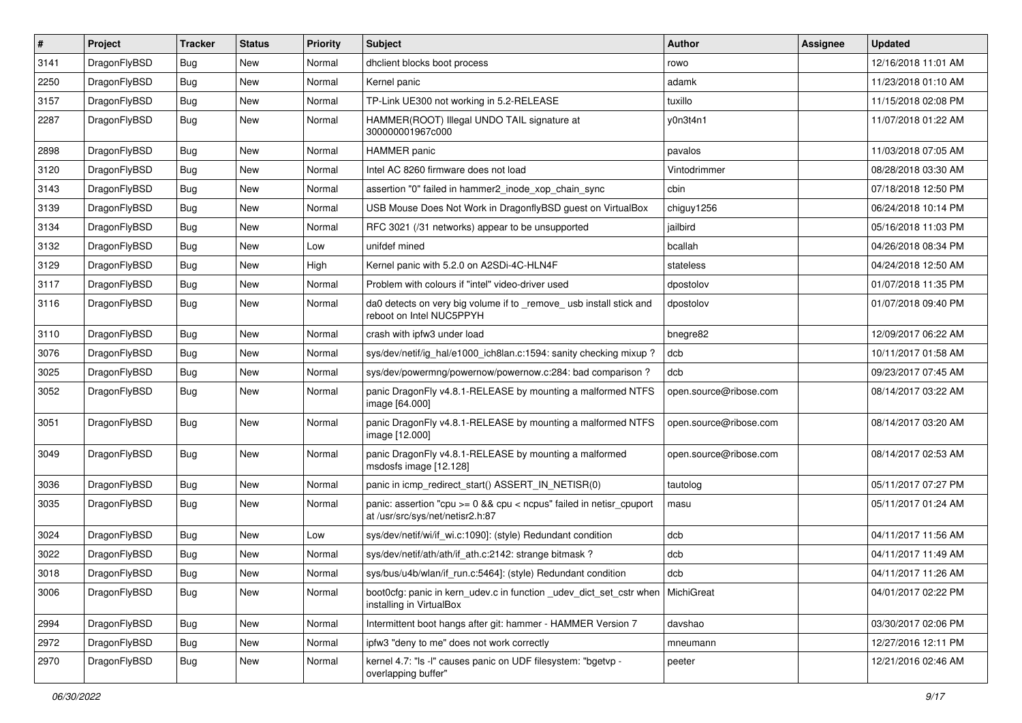| $\vert$ # | Project      | <b>Tracker</b> | <b>Status</b> | <b>Priority</b> | Subject                                                                                                 | <b>Author</b>          | <b>Assignee</b> | <b>Updated</b>      |
|-----------|--------------|----------------|---------------|-----------------|---------------------------------------------------------------------------------------------------------|------------------------|-----------------|---------------------|
| 3141      | DragonFlyBSD | <b>Bug</b>     | New           | Normal          | dhclient blocks boot process                                                                            | rowo                   |                 | 12/16/2018 11:01 AM |
| 2250      | DragonFlyBSD | <b>Bug</b>     | <b>New</b>    | Normal          | Kernel panic                                                                                            | adamk                  |                 | 11/23/2018 01:10 AM |
| 3157      | DragonFlyBSD | <b>Bug</b>     | New           | Normal          | TP-Link UE300 not working in 5.2-RELEASE                                                                | tuxillo                |                 | 11/15/2018 02:08 PM |
| 2287      | DragonFlyBSD | Bug            | New           | Normal          | HAMMER(ROOT) Illegal UNDO TAIL signature at<br>300000001967c000                                         | y0n3t4n1               |                 | 11/07/2018 01:22 AM |
| 2898      | DragonFlyBSD | <b>Bug</b>     | New           | Normal          | HAMMER panic                                                                                            | pavalos                |                 | 11/03/2018 07:05 AM |
| 3120      | DragonFlyBSD | Bug            | <b>New</b>    | Normal          | Intel AC 8260 firmware does not load                                                                    | Vintodrimmer           |                 | 08/28/2018 03:30 AM |
| 3143      | DragonFlyBSD | <b>Bug</b>     | New           | Normal          | assertion "0" failed in hammer2 inode xop chain sync                                                    | cbin                   |                 | 07/18/2018 12:50 PM |
| 3139      | DragonFlyBSD | Bug            | <b>New</b>    | Normal          | USB Mouse Does Not Work in DragonflyBSD guest on VirtualBox                                             | chiguy1256             |                 | 06/24/2018 10:14 PM |
| 3134      | DragonFlyBSD | Bug            | <b>New</b>    | Normal          | RFC 3021 (/31 networks) appear to be unsupported                                                        | jailbird               |                 | 05/16/2018 11:03 PM |
| 3132      | DragonFlyBSD | Bug            | New           | Low             | unifdef mined                                                                                           | bcallah                |                 | 04/26/2018 08:34 PM |
| 3129      | DragonFlyBSD | Bug            | <b>New</b>    | High            | Kernel panic with 5.2.0 on A2SDi-4C-HLN4F                                                               | stateless              |                 | 04/24/2018 12:50 AM |
| 3117      | DragonFlyBSD | <b>Bug</b>     | New           | Normal          | Problem with colours if "intel" video-driver used                                                       | dpostolov              |                 | 01/07/2018 11:35 PM |
| 3116      | DragonFlyBSD | Bug            | New           | Normal          | da0 detects on very big volume if to _remove_ usb install stick and<br>reboot on Intel NUC5PPYH         | dpostolov              |                 | 01/07/2018 09:40 PM |
| 3110      | DragonFlyBSD | <b>Bug</b>     | <b>New</b>    | Normal          | crash with ipfw3 under load                                                                             | bnegre82               |                 | 12/09/2017 06:22 AM |
| 3076      | DragonFlyBSD | Bug            | New           | Normal          | sys/dev/netif/ig_hal/e1000_ich8lan.c:1594: sanity checking mixup ?                                      | dcb                    |                 | 10/11/2017 01:58 AM |
| 3025      | DragonFlyBSD | Bug            | <b>New</b>    | Normal          | sys/dev/powermng/powernow/powernow.c:284: bad comparison?                                               | dcb                    |                 | 09/23/2017 07:45 AM |
| 3052      | DragonFlyBSD | <b>Bug</b>     | New           | Normal          | panic DragonFly v4.8.1-RELEASE by mounting a malformed NTFS<br>image [64.000]                           | open.source@ribose.com |                 | 08/14/2017 03:22 AM |
| 3051      | DragonFlyBSD | Bug            | New           | Normal          | panic DragonFly v4.8.1-RELEASE by mounting a malformed NTFS<br>image [12.000]                           | open.source@ribose.com |                 | 08/14/2017 03:20 AM |
| 3049      | DragonFlyBSD | Bug            | <b>New</b>    | Normal          | panic DragonFly v4.8.1-RELEASE by mounting a malformed<br>msdosfs image [12.128]                        | open.source@ribose.com |                 | 08/14/2017 02:53 AM |
| 3036      | DragonFlyBSD | Bug            | <b>New</b>    | Normal          | panic in icmp_redirect_start() ASSERT_IN_NETISR(0)                                                      | tautolog               |                 | 05/11/2017 07:27 PM |
| 3035      | DragonFlyBSD | Bug            | New           | Normal          | panic: assertion "cpu >= 0 && cpu < ncpus" failed in netisr_cpuport<br>at /usr/src/sys/net/netisr2.h:87 | masu                   |                 | 05/11/2017 01:24 AM |
| 3024      | DragonFlyBSD | Bug            | <b>New</b>    | Low             | sys/dev/netif/wi/if_wi.c:1090]: (style) Redundant condition                                             | dcb                    |                 | 04/11/2017 11:56 AM |
| 3022      | DragonFlyBSD | <b>Bug</b>     | <b>New</b>    | Normal          | sys/dev/netif/ath/ath/if_ath.c:2142: strange bitmask?                                                   | dcb                    |                 | 04/11/2017 11:49 AM |
| 3018      | DragonFlyBSD | Bug            | New           | Normal          | sys/bus/u4b/wlan/if run.c:5464]: (style) Redundant condition                                            | dcb                    |                 | 04/11/2017 11:26 AM |
| 3006      | DragonFlyBSD | Bug            | New           | Normal          | boot0cfg: panic in kern_udev.c in function _udev_dict_set_cstr when<br>installing in VirtualBox         | MichiGreat             |                 | 04/01/2017 02:22 PM |
| 2994      | DragonFlyBSD | Bug            | New           | Normal          | Intermittent boot hangs after git: hammer - HAMMER Version 7                                            | davshao                |                 | 03/30/2017 02:06 PM |
| 2972      | DragonFlyBSD | Bug            | New           | Normal          | ipfw3 "deny to me" does not work correctly                                                              | mneumann               |                 | 12/27/2016 12:11 PM |
| 2970      | DragonFlyBSD | <b>Bug</b>     | New           | Normal          | kernel 4.7: "Is -I" causes panic on UDF filesystem: "bgetvp -<br>overlapping buffer"                    | peeter                 |                 | 12/21/2016 02:46 AM |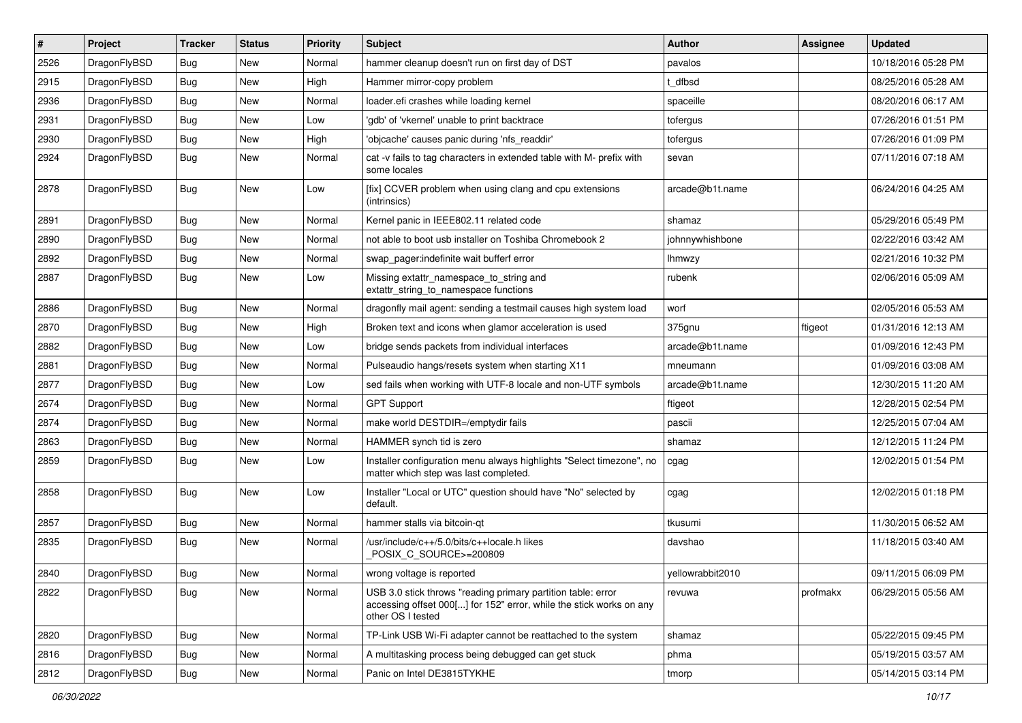| #    | Project      | <b>Tracker</b> | <b>Status</b> | <b>Priority</b> | Subject                                                                                                                                                  | <b>Author</b>    | <b>Assignee</b> | <b>Updated</b>      |
|------|--------------|----------------|---------------|-----------------|----------------------------------------------------------------------------------------------------------------------------------------------------------|------------------|-----------------|---------------------|
| 2526 | DragonFlyBSD | <b>Bug</b>     | <b>New</b>    | Normal          | hammer cleanup doesn't run on first day of DST                                                                                                           | pavalos          |                 | 10/18/2016 05:28 PM |
| 2915 | DragonFlyBSD | Bug            | <b>New</b>    | High            | Hammer mirror-copy problem                                                                                                                               | dfbsd            |                 | 08/25/2016 05:28 AM |
| 2936 | DragonFlyBSD | <b>Bug</b>     | <b>New</b>    | Normal          | loader.efi crashes while loading kernel                                                                                                                  | spaceille        |                 | 08/20/2016 06:17 AM |
| 2931 | DragonFlyBSD | Bug            | <b>New</b>    | Low             | 'gdb' of 'vkernel' unable to print backtrace                                                                                                             | tofergus         |                 | 07/26/2016 01:51 PM |
| 2930 | DragonFlyBSD | <b>Bug</b>     | <b>New</b>    | High            | 'objcache' causes panic during 'nfs_readdir'                                                                                                             | tofergus         |                 | 07/26/2016 01:09 PM |
| 2924 | DragonFlyBSD | <b>Bug</b>     | New           | Normal          | cat -v fails to tag characters in extended table with M- prefix with<br>some locales                                                                     | sevan            |                 | 07/11/2016 07:18 AM |
| 2878 | DragonFlyBSD | <b>Bug</b>     | New           | Low             | [fix] CCVER problem when using clang and cpu extensions<br>(intrinsics)                                                                                  | arcade@b1t.name  |                 | 06/24/2016 04:25 AM |
| 2891 | DragonFlyBSD | Bug            | <b>New</b>    | Normal          | Kernel panic in IEEE802.11 related code                                                                                                                  | shamaz           |                 | 05/29/2016 05:49 PM |
| 2890 | DragonFlyBSD | <b>Bug</b>     | <b>New</b>    | Normal          | not able to boot usb installer on Toshiba Chromebook 2                                                                                                   | johnnywhishbone  |                 | 02/22/2016 03:42 AM |
| 2892 | DragonFlyBSD | <b>Bug</b>     | <b>New</b>    | Normal          | swap pager:indefinite wait bufferf error                                                                                                                 | Ihmwzy           |                 | 02/21/2016 10:32 PM |
| 2887 | DragonFlyBSD | Bug            | <b>New</b>    | Low             | Missing extattr_namespace_to_string and<br>extattr_string_to_namespace functions                                                                         | rubenk           |                 | 02/06/2016 05:09 AM |
| 2886 | DragonFlyBSD | Bug            | <b>New</b>    | Normal          | dragonfly mail agent: sending a testmail causes high system load                                                                                         | worf             |                 | 02/05/2016 05:53 AM |
| 2870 | DragonFlyBSD | Bug            | <b>New</b>    | High            | Broken text and icons when glamor acceleration is used                                                                                                   | 375gnu           | ftigeot         | 01/31/2016 12:13 AM |
| 2882 | DragonFlyBSD | Bug            | <b>New</b>    | Low             | bridge sends packets from individual interfaces                                                                                                          | arcade@b1t.name  |                 | 01/09/2016 12:43 PM |
| 2881 | DragonFlyBSD | <b>Bug</b>     | <b>New</b>    | Normal          | Pulseaudio hangs/resets system when starting X11                                                                                                         | mneumann         |                 | 01/09/2016 03:08 AM |
| 2877 | DragonFlyBSD | <b>Bug</b>     | <b>New</b>    | Low             | sed fails when working with UTF-8 locale and non-UTF symbols                                                                                             | arcade@b1t.name  |                 | 12/30/2015 11:20 AM |
| 2674 | DragonFlyBSD | Bug            | New           | Normal          | <b>GPT Support</b>                                                                                                                                       | ftigeot          |                 | 12/28/2015 02:54 PM |
| 2874 | DragonFlyBSD | <b>Bug</b>     | <b>New</b>    | Normal          | make world DESTDIR=/emptydir fails                                                                                                                       | pascii           |                 | 12/25/2015 07:04 AM |
| 2863 | DragonFlyBSD | <b>Bug</b>     | <b>New</b>    | Normal          | HAMMER synch tid is zero                                                                                                                                 | shamaz           |                 | 12/12/2015 11:24 PM |
| 2859 | DragonFlyBSD | <b>Bug</b>     | <b>New</b>    | Low             | Installer configuration menu always highlights "Select timezone", no<br>matter which step was last completed.                                            | cgag             |                 | 12/02/2015 01:54 PM |
| 2858 | DragonFlyBSD | Bug            | <b>New</b>    | Low             | Installer "Local or UTC" question should have "No" selected by<br>default.                                                                               | cgag             |                 | 12/02/2015 01:18 PM |
| 2857 | DragonFlyBSD | <b>Bug</b>     | <b>New</b>    | Normal          | hammer stalls via bitcoin-qt                                                                                                                             | tkusumi          |                 | 11/30/2015 06:52 AM |
| 2835 | DragonFlyBSD | Bug            | <b>New</b>    | Normal          | /usr/include/c++/5.0/bits/c++locale.h likes<br>POSIX_C_SOURCE>=200809                                                                                    | davshao          |                 | 11/18/2015 03:40 AM |
| 2840 | DragonFlyBSD | Bug            | New           | Normal          | wrong voltage is reported                                                                                                                                | vellowrabbit2010 |                 | 09/11/2015 06:09 PM |
| 2822 | DragonFlyBSD | Bug            | New           | Normal          | USB 3.0 stick throws "reading primary partition table: error<br>accessing offset 000[] for 152" error, while the stick works on any<br>other OS I tested | revuwa           | profmakx        | 06/29/2015 05:56 AM |
| 2820 | DragonFlyBSD | <b>Bug</b>     | <b>New</b>    | Normal          | TP-Link USB Wi-Fi adapter cannot be reattached to the system                                                                                             | shamaz           |                 | 05/22/2015 09:45 PM |
| 2816 | DragonFlyBSD | <b>Bug</b>     | New           | Normal          | A multitasking process being debugged can get stuck                                                                                                      | phma             |                 | 05/19/2015 03:57 AM |
| 2812 | DragonFlyBSD | <b>Bug</b>     | New           | Normal          | Panic on Intel DE3815TYKHE                                                                                                                               | tmorp            |                 | 05/14/2015 03:14 PM |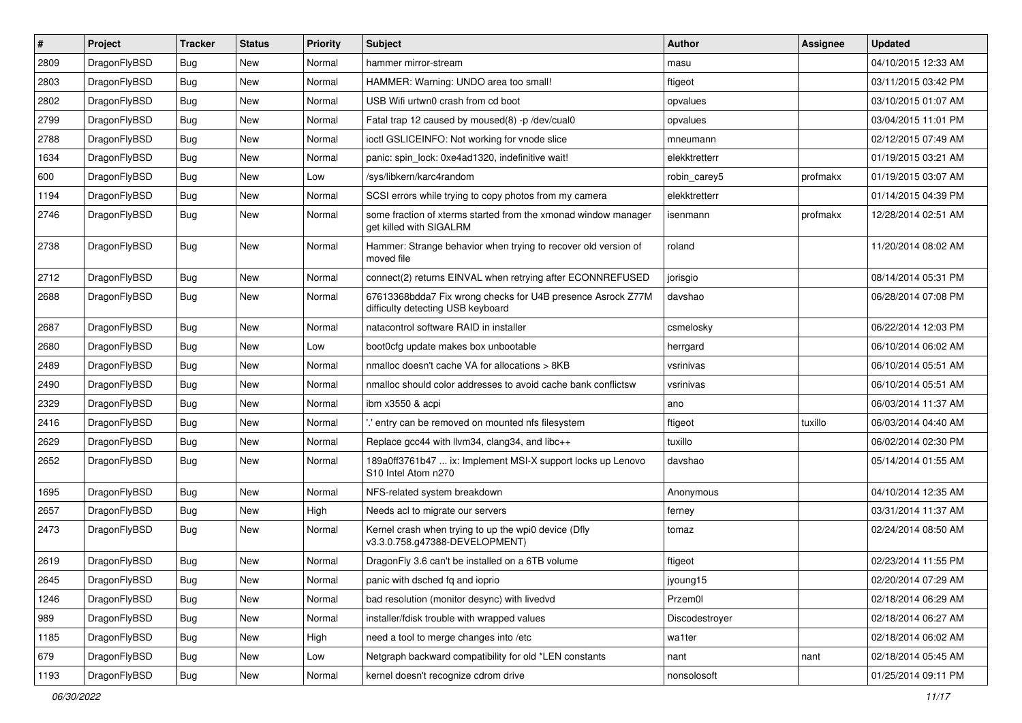| #    | Project      | <b>Tracker</b> | <b>Status</b> | <b>Priority</b> | <b>Subject</b>                                                                                   | <b>Author</b>  | <b>Assignee</b> | <b>Updated</b>      |
|------|--------------|----------------|---------------|-----------------|--------------------------------------------------------------------------------------------------|----------------|-----------------|---------------------|
| 2809 | DragonFlyBSD | <b>Bug</b>     | New           | Normal          | hammer mirror-stream                                                                             | masu           |                 | 04/10/2015 12:33 AM |
| 2803 | DragonFlyBSD | <b>Bug</b>     | <b>New</b>    | Normal          | HAMMER: Warning: UNDO area too small!                                                            | ftigeot        |                 | 03/11/2015 03:42 PM |
| 2802 | DragonFlyBSD | <b>Bug</b>     | <b>New</b>    | Normal          | USB Wifi urtwn0 crash from cd boot                                                               | opvalues       |                 | 03/10/2015 01:07 AM |
| 2799 | DragonFlyBSD | <b>Bug</b>     | New           | Normal          | Fatal trap 12 caused by moused(8) -p/dev/cual0                                                   | opvalues       |                 | 03/04/2015 11:01 PM |
| 2788 | DragonFlyBSD | <b>Bug</b>     | <b>New</b>    | Normal          | ioctl GSLICEINFO: Not working for vnode slice                                                    | mneumann       |                 | 02/12/2015 07:49 AM |
| 1634 | DragonFlyBSD | <b>Bug</b>     | New           | Normal          | panic: spin lock: 0xe4ad1320, indefinitive wait!                                                 | elekktretterr  |                 | 01/19/2015 03:21 AM |
| 600  | DragonFlyBSD | <b>Bug</b>     | New           | Low             | /sys/libkern/karc4random                                                                         | robin_carey5   | profmakx        | 01/19/2015 03:07 AM |
| 1194 | DragonFlyBSD | <b>Bug</b>     | <b>New</b>    | Normal          | SCSI errors while trying to copy photos from my camera                                           | elekktretterr  |                 | 01/14/2015 04:39 PM |
| 2746 | DragonFlyBSD | <b>Bug</b>     | New           | Normal          | some fraction of xterms started from the xmonad window manager<br>get killed with SIGALRM        | isenmann       | profmakx        | 12/28/2014 02:51 AM |
| 2738 | DragonFlyBSD | <b>Bug</b>     | New           | Normal          | Hammer: Strange behavior when trying to recover old version of<br>moved file                     | roland         |                 | 11/20/2014 08:02 AM |
| 2712 | DragonFlyBSD | Bug            | <b>New</b>    | Normal          | connect(2) returns EINVAL when retrying after ECONNREFUSED                                       | jorisgio       |                 | 08/14/2014 05:31 PM |
| 2688 | DragonFlyBSD | <b>Bug</b>     | New           | Normal          | 67613368bdda7 Fix wrong checks for U4B presence Asrock Z77M<br>difficulty detecting USB keyboard | davshao        |                 | 06/28/2014 07:08 PM |
| 2687 | DragonFlyBSD | <b>Bug</b>     | <b>New</b>    | Normal          | natacontrol software RAID in installer                                                           | csmelosky      |                 | 06/22/2014 12:03 PM |
| 2680 | DragonFlyBSD | <b>Bug</b>     | <b>New</b>    | Low             | boot0cfg update makes box unbootable                                                             | herrgard       |                 | 06/10/2014 06:02 AM |
| 2489 | DragonFlyBSD | <b>Bug</b>     | New           | Normal          | nmalloc doesn't cache VA for allocations > 8KB                                                   | vsrinivas      |                 | 06/10/2014 05:51 AM |
| 2490 | DragonFlyBSD | <b>Bug</b>     | <b>New</b>    | Normal          | nmalloc should color addresses to avoid cache bank conflictsw                                    | vsrinivas      |                 | 06/10/2014 05:51 AM |
| 2329 | DragonFlyBSD | <b>Bug</b>     | New           | Normal          | ibm x3550 & acpi                                                                                 | ano            |                 | 06/03/2014 11:37 AM |
| 2416 | DragonFlyBSD | <b>Bug</b>     | <b>New</b>    | Normal          | ".' entry can be removed on mounted nfs filesystem                                               | ftigeot        | tuxillo         | 06/03/2014 04:40 AM |
| 2629 | DragonFlyBSD | <b>Bug</b>     | New           | Normal          | Replace gcc44 with llvm34, clang34, and libc++                                                   | tuxillo        |                 | 06/02/2014 02:30 PM |
| 2652 | DragonFlyBSD | <b>Bug</b>     | New           | Normal          | 189a0ff3761b47  ix: Implement MSI-X support locks up Lenovo<br>S10 Intel Atom n270               | davshao        |                 | 05/14/2014 01:55 AM |
| 1695 | DragonFlyBSD | <b>Bug</b>     | <b>New</b>    | Normal          | NFS-related system breakdown                                                                     | Anonymous      |                 | 04/10/2014 12:35 AM |
| 2657 | DragonFlyBSD | <b>Bug</b>     | New           | High            | Needs acl to migrate our servers                                                                 | ferney         |                 | 03/31/2014 11:37 AM |
| 2473 | DragonFlyBSD | <b>Bug</b>     | New           | Normal          | Kernel crash when trying to up the wpi0 device (Dfly<br>v3.3.0.758.g47388-DEVELOPMENT)           | tomaz          |                 | 02/24/2014 08:50 AM |
| 2619 | DragonFlyBSD | <b>Bug</b>     | New           | Normal          | DragonFly 3.6 can't be installed on a 6TB volume                                                 | ftigeot        |                 | 02/23/2014 11:55 PM |
| 2645 | DragonFlyBSD | <b>Bug</b>     | <b>New</b>    | Normal          | panic with dsched fq and ioprio                                                                  | jyoung15       |                 | 02/20/2014 07:29 AM |
| 1246 | DragonFlyBSD | <b>Bug</b>     | <b>New</b>    | Normal          | bad resolution (monitor desync) with livedvd                                                     | Przem0l        |                 | 02/18/2014 06:29 AM |
| 989  | DragonFlyBSD | <b>Bug</b>     | New           | Normal          | installer/fdisk trouble with wrapped values                                                      | Discodestroyer |                 | 02/18/2014 06:27 AM |
| 1185 | DragonFlyBSD | <b>Bug</b>     | New           | High            | need a tool to merge changes into /etc                                                           | wa1ter         |                 | 02/18/2014 06:02 AM |
| 679  | DragonFlyBSD | <b>Bug</b>     | New           | Low             | Netgraph backward compatibility for old *LEN constants                                           | nant           | nant            | 02/18/2014 05:45 AM |
| 1193 | DragonFlyBSD | <b>Bug</b>     | New           | Normal          | kernel doesn't recognize cdrom drive                                                             | nonsolosoft    |                 | 01/25/2014 09:11 PM |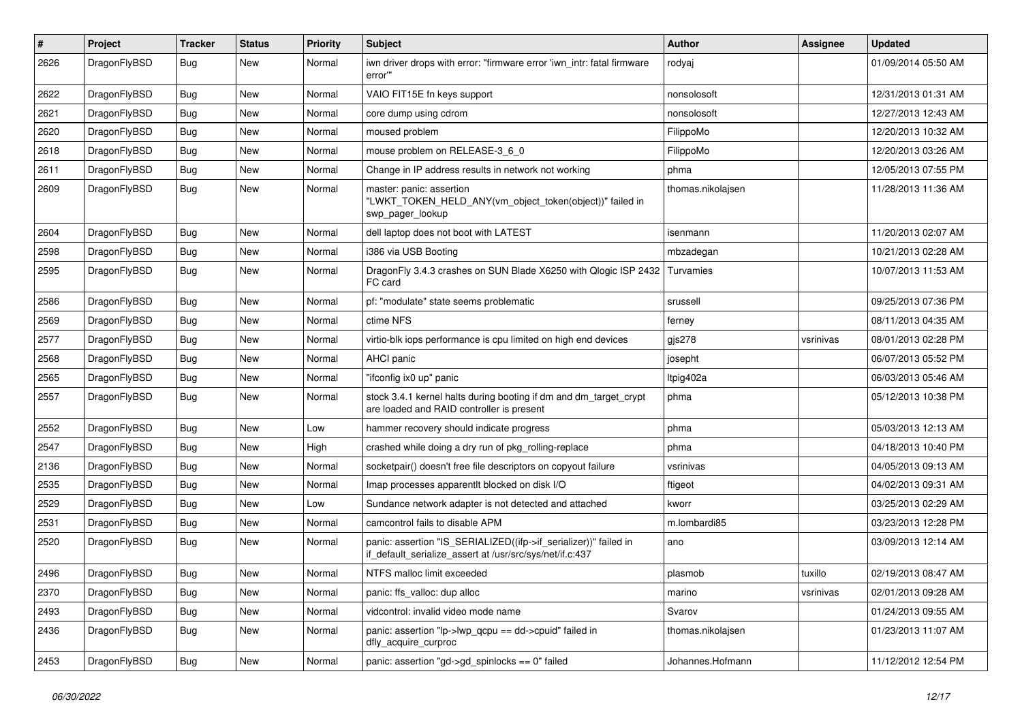| #    | Project      | <b>Tracker</b> | <b>Status</b> | <b>Priority</b> | Subject                                                                                                                      | <b>Author</b>     | Assignee  | <b>Updated</b>      |
|------|--------------|----------------|---------------|-----------------|------------------------------------------------------------------------------------------------------------------------------|-------------------|-----------|---------------------|
| 2626 | DragonFlyBSD | Bug            | <b>New</b>    | Normal          | iwn driver drops with error: "firmware error 'iwn_intr: fatal firmware<br>error""                                            | rodyaj            |           | 01/09/2014 05:50 AM |
| 2622 | DragonFlyBSD | <b>Bug</b>     | <b>New</b>    | Normal          | VAIO FIT15E fn keys support                                                                                                  | nonsolosoft       |           | 12/31/2013 01:31 AM |
| 2621 | DragonFlyBSD | <b>Bug</b>     | New           | Normal          | core dump using cdrom                                                                                                        | nonsolosoft       |           | 12/27/2013 12:43 AM |
| 2620 | DragonFlyBSD | <b>Bug</b>     | <b>New</b>    | Normal          | moused problem                                                                                                               | FilippoMo         |           | 12/20/2013 10:32 AM |
| 2618 | DragonFlyBSD | <b>Bug</b>     | <b>New</b>    | Normal          | mouse problem on RELEASE-3_6_0                                                                                               | FilippoMo         |           | 12/20/2013 03:26 AM |
| 2611 | DragonFlyBSD | <b>Bug</b>     | <b>New</b>    | Normal          | Change in IP address results in network not working                                                                          | phma              |           | 12/05/2013 07:55 PM |
| 2609 | DragonFlyBSD | Bug            | <b>New</b>    | Normal          | master: panic: assertion<br>"LWKT_TOKEN_HELD_ANY(vm_object_token(object))" failed in<br>swp_pager_lookup                     | thomas.nikolajsen |           | 11/28/2013 11:36 AM |
| 2604 | DragonFlyBSD | <b>Bug</b>     | <b>New</b>    | Normal          | dell laptop does not boot with LATEST                                                                                        | isenmann          |           | 11/20/2013 02:07 AM |
| 2598 | DragonFlyBSD | <b>Bug</b>     | New           | Normal          | i386 via USB Booting                                                                                                         | mbzadegan         |           | 10/21/2013 02:28 AM |
| 2595 | DragonFlyBSD | Bug            | <b>New</b>    | Normal          | DragonFly 3.4.3 crashes on SUN Blade X6250 with Qlogic ISP 2432<br>FC card                                                   | Turvamies         |           | 10/07/2013 11:53 AM |
| 2586 | DragonFlyBSD | Bug            | <b>New</b>    | Normal          | pf: "modulate" state seems problematic                                                                                       | srussell          |           | 09/25/2013 07:36 PM |
| 2569 | DragonFlyBSD | <b>Bug</b>     | <b>New</b>    | Normal          | ctime NFS                                                                                                                    | ferney            |           | 08/11/2013 04:35 AM |
| 2577 | DragonFlyBSD | <b>Bug</b>     | <b>New</b>    | Normal          | virtio-blk iops performance is cpu limited on high end devices                                                               | gjs278            | vsrinivas | 08/01/2013 02:28 PM |
| 2568 | DragonFlyBSD | Bug            | <b>New</b>    | Normal          | AHCI panic                                                                                                                   | josepht           |           | 06/07/2013 05:52 PM |
| 2565 | DragonFlyBSD | <b>Bug</b>     | New           | Normal          | "ifconfig ix0 up" panic                                                                                                      | Itpig402a         |           | 06/03/2013 05:46 AM |
| 2557 | DragonFlyBSD | Bug            | <b>New</b>    | Normal          | stock 3.4.1 kernel halts during booting if dm and dm_target_crypt<br>are loaded and RAID controller is present               | phma              |           | 05/12/2013 10:38 PM |
| 2552 | DragonFlyBSD | Bug            | <b>New</b>    | Low             | hammer recovery should indicate progress                                                                                     | phma              |           | 05/03/2013 12:13 AM |
| 2547 | DragonFlyBSD | <b>Bug</b>     | <b>New</b>    | High            | crashed while doing a dry run of pkg rolling-replace                                                                         | phma              |           | 04/18/2013 10:40 PM |
| 2136 | DragonFlyBSD | <b>Bug</b>     | New           | Normal          | socketpair() doesn't free file descriptors on copyout failure                                                                | vsrinivas         |           | 04/05/2013 09:13 AM |
| 2535 | DragonFlyBSD | <b>Bug</b>     | <b>New</b>    | Normal          | Imap processes apparentlt blocked on disk I/O                                                                                | ftigeot           |           | 04/02/2013 09:31 AM |
| 2529 | DragonFlyBSD | Bug            | <b>New</b>    | Low             | Sundance network adapter is not detected and attached                                                                        | kworr             |           | 03/25/2013 02:29 AM |
| 2531 | DragonFlyBSD | <b>Bug</b>     | New           | Normal          | camcontrol fails to disable APM                                                                                              | m.lombardi85      |           | 03/23/2013 12:28 PM |
| 2520 | DragonFlyBSD | Bug            | <b>New</b>    | Normal          | panic: assertion "IS_SERIALIZED((ifp->if_serializer))" failed in<br>if_default_serialize_assert at /usr/src/sys/net/if.c:437 | ano               |           | 03/09/2013 12:14 AM |
| 2496 | DragonFlyBSD | Bug            | <b>New</b>    | Normal          | NTFS malloc limit exceeded                                                                                                   | plasmob           | tuxillo   | 02/19/2013 08:47 AM |
| 2370 | DragonFlyBSD | Bug            | New           | Normal          | panic: ffs_valloc: dup alloc                                                                                                 | marino            | vsrinivas | 02/01/2013 09:28 AM |
| 2493 | DragonFlyBSD | Bug            | New           | Normal          | vidcontrol: invalid video mode name                                                                                          | Svarov            |           | 01/24/2013 09:55 AM |
| 2436 | DragonFlyBSD | <b>Bug</b>     | New           | Normal          | panic: assertion "lp->lwp_qcpu == dd->cpuid" failed in<br>dfly_acquire_curproc                                               | thomas.nikolajsen |           | 01/23/2013 11:07 AM |
| 2453 | DragonFlyBSD | <b>Bug</b>     | New           | Normal          | panic: assertion "gd->gd_spinlocks == 0" failed                                                                              | Johannes.Hofmann  |           | 11/12/2012 12:54 PM |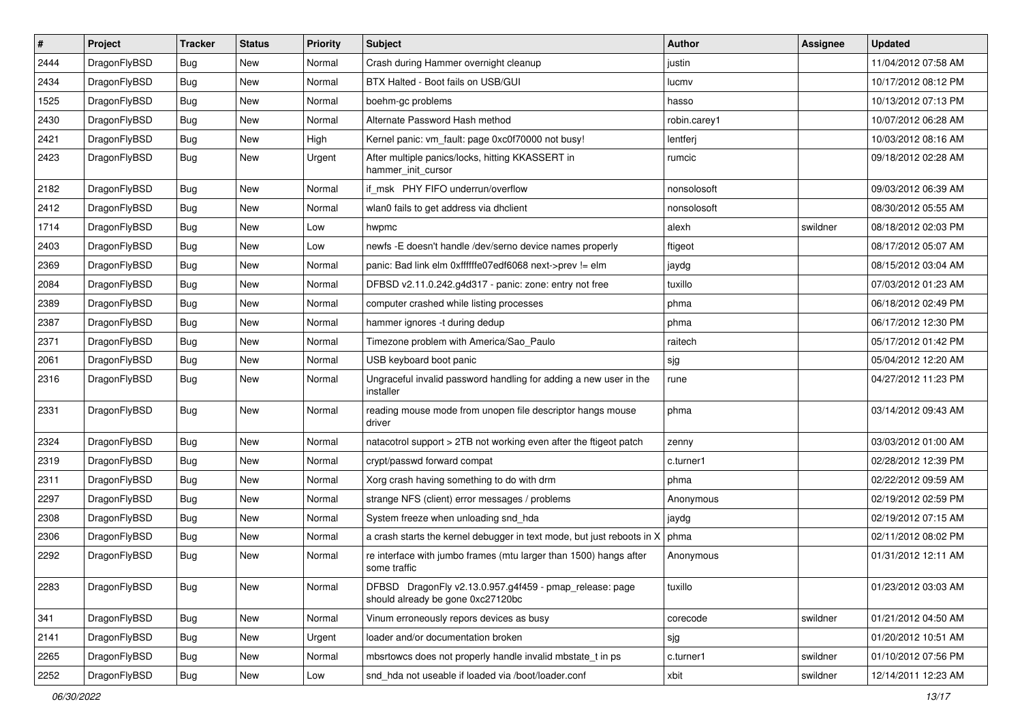| $\sharp$ | Project      | <b>Tracker</b> | <b>Status</b> | <b>Priority</b> | Subject                                                                                      | <b>Author</b> | Assignee | <b>Updated</b>      |
|----------|--------------|----------------|---------------|-----------------|----------------------------------------------------------------------------------------------|---------------|----------|---------------------|
| 2444     | DragonFlyBSD | <b>Bug</b>     | New           | Normal          | Crash during Hammer overnight cleanup                                                        | justin        |          | 11/04/2012 07:58 AM |
| 2434     | DragonFlyBSD | <b>Bug</b>     | New           | Normal          | BTX Halted - Boot fails on USB/GUI                                                           | lucmv         |          | 10/17/2012 08:12 PM |
| 1525     | DragonFlyBSD | <b>Bug</b>     | New           | Normal          | boehm-gc problems                                                                            | hasso         |          | 10/13/2012 07:13 PM |
| 2430     | DragonFlyBSD | <b>Bug</b>     | New           | Normal          | Alternate Password Hash method                                                               | robin.carey1  |          | 10/07/2012 06:28 AM |
| 2421     | DragonFlyBSD | <b>Bug</b>     | <b>New</b>    | High            | Kernel panic: vm_fault: page 0xc0f70000 not busy!                                            | lentferj      |          | 10/03/2012 08:16 AM |
| 2423     | DragonFlyBSD | <b>Bug</b>     | <b>New</b>    | Urgent          | After multiple panics/locks, hitting KKASSERT in<br>hammer_init_cursor                       | rumcic        |          | 09/18/2012 02:28 AM |
| 2182     | DragonFlyBSD | <b>Bug</b>     | <b>New</b>    | Normal          | if msk PHY FIFO underrun/overflow                                                            | nonsolosoft   |          | 09/03/2012 06:39 AM |
| 2412     | DragonFlyBSD | <b>Bug</b>     | New           | Normal          | wlan0 fails to get address via dhclient                                                      | nonsolosoft   |          | 08/30/2012 05:55 AM |
| 1714     | DragonFlyBSD | <b>Bug</b>     | <b>New</b>    | Low             | hwpmc                                                                                        | alexh         | swildner | 08/18/2012 02:03 PM |
| 2403     | DragonFlyBSD | <b>Bug</b>     | <b>New</b>    | Low             | newfs -E doesn't handle /dev/serno device names properly                                     | ftigeot       |          | 08/17/2012 05:07 AM |
| 2369     | DragonFlyBSD | <b>Bug</b>     | New           | Normal          | panic: Bad link elm 0xffffffe07edf6068 next->prev != elm                                     | jaydg         |          | 08/15/2012 03:04 AM |
| 2084     | DragonFlyBSD | <b>Bug</b>     | New           | Normal          | DFBSD v2.11.0.242.g4d317 - panic: zone: entry not free                                       | tuxillo       |          | 07/03/2012 01:23 AM |
| 2389     | DragonFlyBSD | <b>Bug</b>     | <b>New</b>    | Normal          | computer crashed while listing processes                                                     | phma          |          | 06/18/2012 02:49 PM |
| 2387     | DragonFlyBSD | <b>Bug</b>     | <b>New</b>    | Normal          | hammer ignores -t during dedup                                                               | phma          |          | 06/17/2012 12:30 PM |
| 2371     | DragonFlyBSD | <b>Bug</b>     | <b>New</b>    | Normal          | Timezone problem with America/Sao Paulo                                                      | raitech       |          | 05/17/2012 01:42 PM |
| 2061     | DragonFlyBSD | <b>Bug</b>     | <b>New</b>    | Normal          | USB keyboard boot panic                                                                      | sjg           |          | 05/04/2012 12:20 AM |
| 2316     | DragonFlyBSD | <b>Bug</b>     | New           | Normal          | Ungraceful invalid password handling for adding a new user in the<br>installer               | rune          |          | 04/27/2012 11:23 PM |
| 2331     | DragonFlyBSD | Bug            | New           | Normal          | reading mouse mode from unopen file descriptor hangs mouse<br>driver                         | phma          |          | 03/14/2012 09:43 AM |
| 2324     | DragonFlyBSD | <b>Bug</b>     | <b>New</b>    | Normal          | natacotrol support > 2TB not working even after the ftigeot patch                            | zenny         |          | 03/03/2012 01:00 AM |
| 2319     | DragonFlyBSD | <b>Bug</b>     | <b>New</b>    | Normal          | crypt/passwd forward compat                                                                  | c.turner1     |          | 02/28/2012 12:39 PM |
| 2311     | DragonFlyBSD | <b>Bug</b>     | <b>New</b>    | Normal          | Xorg crash having something to do with drm                                                   | phma          |          | 02/22/2012 09:59 AM |
| 2297     | DragonFlyBSD | <b>Bug</b>     | New           | Normal          | strange NFS (client) error messages / problems                                               | Anonymous     |          | 02/19/2012 02:59 PM |
| 2308     | DragonFlyBSD | <b>Bug</b>     | <b>New</b>    | Normal          | System freeze when unloading snd_hda                                                         | jaydg         |          | 02/19/2012 07:15 AM |
| 2306     | DragonFlyBSD | <b>Bug</b>     | <b>New</b>    | Normal          | a crash starts the kernel debugger in text mode, but just reboots in X                       | phma          |          | 02/11/2012 08:02 PM |
| 2292     | DragonFlyBSD | <b>Bug</b>     | New           | Normal          | re interface with jumbo frames (mtu larger than 1500) hangs after<br>some traffic            | Anonymous     |          | 01/31/2012 12:11 AM |
| 2283     | DragonFlyBSD | <b>Bug</b>     | New           | Normal          | DFBSD DragonFly v2.13.0.957.g4f459 - pmap_release: page<br>should already be gone 0xc27120bc | tuxillo       |          | 01/23/2012 03:03 AM |
| 341      | DragonFlyBSD | <b>Bug</b>     | New           | Normal          | Vinum erroneously repors devices as busy                                                     | corecode      | swildner | 01/21/2012 04:50 AM |
| 2141     | DragonFlyBSD | <b>Bug</b>     | New           | Urgent          | loader and/or documentation broken                                                           | sjg           |          | 01/20/2012 10:51 AM |
| 2265     | DragonFlyBSD | <b>Bug</b>     | <b>New</b>    | Normal          | mbsrtowcs does not properly handle invalid mbstate_t in ps                                   | c.turner1     | swildner | 01/10/2012 07:56 PM |
| 2252     | DragonFlyBSD | <b>Bug</b>     | New           | Low             | snd_hda not useable if loaded via /boot/loader.conf                                          | xbit          | swildner | 12/14/2011 12:23 AM |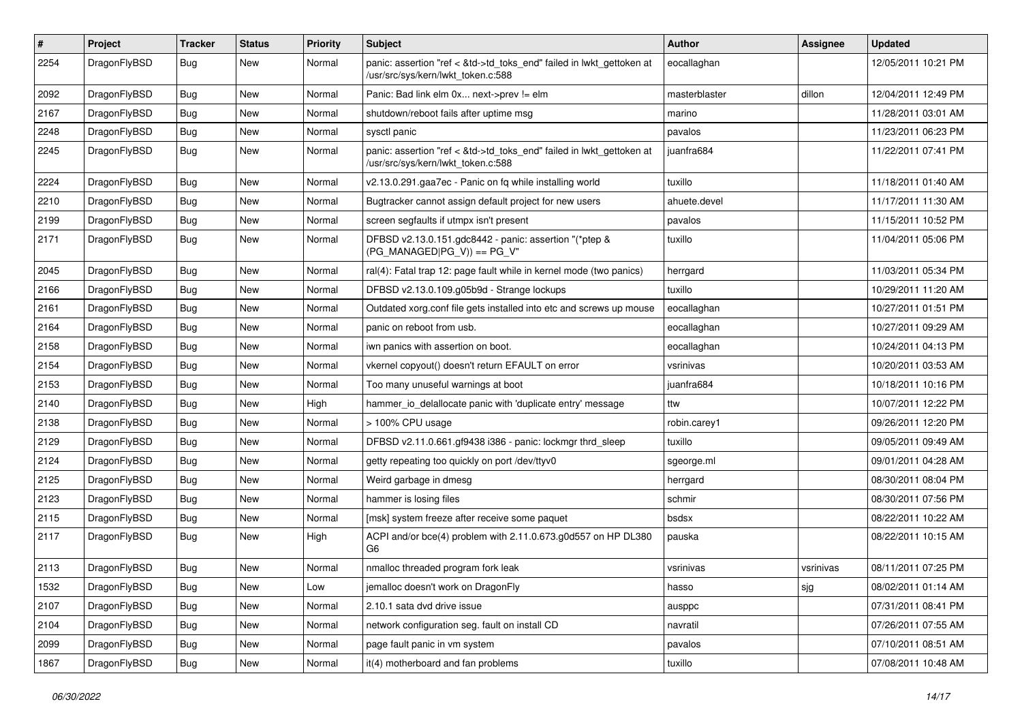| $\pmb{\#}$ | Project      | <b>Tracker</b> | <b>Status</b> | <b>Priority</b> | <b>Subject</b>                                                                                             | Author        | <b>Assignee</b> | <b>Updated</b>      |
|------------|--------------|----------------|---------------|-----------------|------------------------------------------------------------------------------------------------------------|---------------|-----------------|---------------------|
| 2254       | DragonFlyBSD | Bug            | New           | Normal          | panic: assertion "ref < &td->td_toks_end" failed in lwkt_gettoken at<br>/usr/src/sys/kern/lwkt_token.c:588 | eocallaghan   |                 | 12/05/2011 10:21 PM |
| 2092       | DragonFlyBSD | <b>Bug</b>     | New           | Normal          | Panic: Bad link elm 0x next->prev != elm                                                                   | masterblaster | dillon          | 12/04/2011 12:49 PM |
| 2167       | DragonFlyBSD | Bug            | New           | Normal          | shutdown/reboot fails after uptime msg                                                                     | marino        |                 | 11/28/2011 03:01 AM |
| 2248       | DragonFlyBSD | <b>Bug</b>     | New           | Normal          | sysctl panic                                                                                               | pavalos       |                 | 11/23/2011 06:23 PM |
| 2245       | DragonFlyBSD | <b>Bug</b>     | New           | Normal          | panic: assertion "ref < &td->td_toks_end" failed in lwkt_gettoken at<br>/usr/src/sys/kern/lwkt_token.c:588 | juanfra684    |                 | 11/22/2011 07:41 PM |
| 2224       | DragonFlyBSD | <b>Bug</b>     | New           | Normal          | v2.13.0.291.gaa7ec - Panic on fq while installing world                                                    | tuxillo       |                 | 11/18/2011 01:40 AM |
| 2210       | DragonFlyBSD | Bug            | New           | Normal          | Bugtracker cannot assign default project for new users                                                     | ahuete.devel  |                 | 11/17/2011 11:30 AM |
| 2199       | DragonFlyBSD | <b>Bug</b>     | <b>New</b>    | Normal          | screen segfaults if utmpx isn't present                                                                    | pavalos       |                 | 11/15/2011 10:52 PM |
| 2171       | DragonFlyBSD | Bug            | New           | Normal          | DFBSD v2.13.0.151.gdc8442 - panic: assertion "(*ptep &<br>$(PG_MANAGED PG_V)$ == PG_V"                     | tuxillo       |                 | 11/04/2011 05:06 PM |
| 2045       | DragonFlyBSD | <b>Bug</b>     | <b>New</b>    | Normal          | ral(4): Fatal trap 12: page fault while in kernel mode (two panics)                                        | herrgard      |                 | 11/03/2011 05:34 PM |
| 2166       | DragonFlyBSD | <b>Bug</b>     | New           | Normal          | DFBSD v2.13.0.109.g05b9d - Strange lockups                                                                 | tuxillo       |                 | 10/29/2011 11:20 AM |
| 2161       | DragonFlyBSD | Bug            | New           | Normal          | Outdated xorg.conf file gets installed into etc and screws up mouse                                        | eocallaghan   |                 | 10/27/2011 01:51 PM |
| 2164       | DragonFlyBSD | <b>Bug</b>     | New           | Normal          | panic on reboot from usb.                                                                                  | eocallaghan   |                 | 10/27/2011 09:29 AM |
| 2158       | DragonFlyBSD | Bug            | New           | Normal          | iwn panics with assertion on boot.                                                                         | eocallaghan   |                 | 10/24/2011 04:13 PM |
| 2154       | DragonFlyBSD | <b>Bug</b>     | New           | Normal          | vkernel copyout() doesn't return EFAULT on error                                                           | vsrinivas     |                 | 10/20/2011 03:53 AM |
| 2153       | DragonFlyBSD | Bug            | New           | Normal          | Too many unuseful warnings at boot                                                                         | juanfra684    |                 | 10/18/2011 10:16 PM |
| 2140       | DragonFlyBSD | Bug            | New           | High            | hammer_io_delallocate panic with 'duplicate entry' message                                                 | ttw           |                 | 10/07/2011 12:22 PM |
| 2138       | DragonFlyBSD | Bug            | New           | Normal          | > 100% CPU usage                                                                                           | robin.carey1  |                 | 09/26/2011 12:20 PM |
| 2129       | DragonFlyBSD | Bug            | New           | Normal          | DFBSD v2.11.0.661.gf9438 i386 - panic: lockmgr thrd_sleep                                                  | tuxillo       |                 | 09/05/2011 09:49 AM |
| 2124       | DragonFlyBSD | <b>Bug</b>     | New           | Normal          | getty repeating too quickly on port /dev/ttyv0                                                             | sgeorge.ml    |                 | 09/01/2011 04:28 AM |
| 2125       | DragonFlyBSD | Bug            | New           | Normal          | Weird garbage in dmesg                                                                                     | herrgard      |                 | 08/30/2011 08:04 PM |
| 2123       | DragonFlyBSD | Bug            | New           | Normal          | hammer is losing files                                                                                     | schmir        |                 | 08/30/2011 07:56 PM |
| 2115       | DragonFlyBSD | Bug            | New           | Normal          | [msk] system freeze after receive some paquet                                                              | bsdsx         |                 | 08/22/2011 10:22 AM |
| 2117       | DragonFlyBSD | <b>Bug</b>     | New           | High            | ACPI and/or bce(4) problem with 2.11.0.673.g0d557 on HP DL380<br>G6                                        | pauska        |                 | 08/22/2011 10:15 AM |
| 2113       | DragonFlyBSD | <b>Bug</b>     | New           | Normal          | nmalloc threaded program fork leak                                                                         | vsrinivas     | vsrinivas       | 08/11/2011 07:25 PM |
| 1532       | DragonFlyBSD | <b>Bug</b>     | New           | Low             | jemalloc doesn't work on DragonFly                                                                         | hasso         | sjg             | 08/02/2011 01:14 AM |
| 2107       | DragonFlyBSD | <b>Bug</b>     | New           | Normal          | 2.10.1 sata dvd drive issue                                                                                | ausppc        |                 | 07/31/2011 08:41 PM |
| 2104       | DragonFlyBSD | <b>Bug</b>     | New           | Normal          | network configuration seg. fault on install CD                                                             | navratil      |                 | 07/26/2011 07:55 AM |
| 2099       | DragonFlyBSD | <b>Bug</b>     | New           | Normal          | page fault panic in vm system                                                                              | pavalos       |                 | 07/10/2011 08:51 AM |
| 1867       | DragonFlyBSD | <b>Bug</b>     | New           | Normal          | it(4) motherboard and fan problems                                                                         | tuxillo       |                 | 07/08/2011 10:48 AM |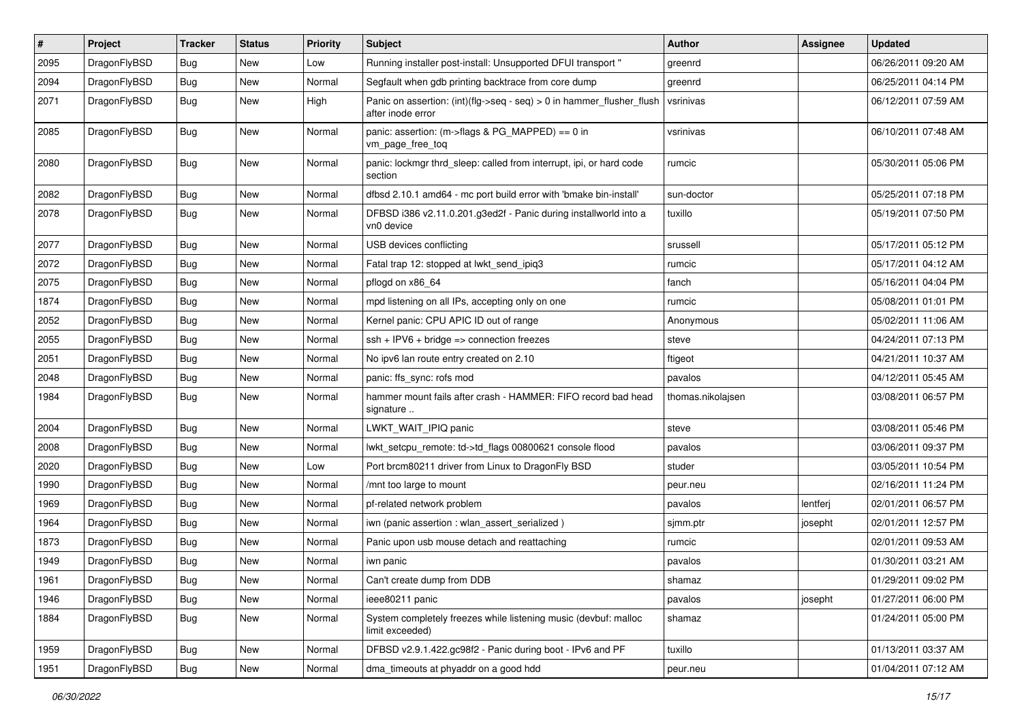| $\sharp$ | Project      | <b>Tracker</b> | <b>Status</b> | <b>Priority</b> | Subject                                                                                    | <b>Author</b>     | Assignee | <b>Updated</b>      |
|----------|--------------|----------------|---------------|-----------------|--------------------------------------------------------------------------------------------|-------------------|----------|---------------------|
| 2095     | DragonFlyBSD | <b>Bug</b>     | <b>New</b>    | Low             | Running installer post-install: Unsupported DFUI transport "                               | greenrd           |          | 06/26/2011 09:20 AM |
| 2094     | DragonFlyBSD | <b>Bug</b>     | New           | Normal          | Segfault when gdb printing backtrace from core dump                                        | greenrd           |          | 06/25/2011 04:14 PM |
| 2071     | DragonFlyBSD | <b>Bug</b>     | New           | High            | Panic on assertion: (int)(flg->seq - seq) > 0 in hammer_flusher_flush<br>after inode error | vsrinivas         |          | 06/12/2011 07:59 AM |
| 2085     | DragonFlyBSD | <b>Bug</b>     | New           | Normal          | panic: assertion: (m->flags & PG_MAPPED) == 0 in<br>vm_page_free_toq                       | vsrinivas         |          | 06/10/2011 07:48 AM |
| 2080     | DragonFlyBSD | <b>Bug</b>     | New           | Normal          | panic: lockmgr thrd_sleep: called from interrupt, ipi, or hard code<br>section             | rumcic            |          | 05/30/2011 05:06 PM |
| 2082     | DragonFlyBSD | <b>Bug</b>     | <b>New</b>    | Normal          | dfbsd 2.10.1 amd64 - mc port build error with 'bmake bin-install'                          | sun-doctor        |          | 05/25/2011 07:18 PM |
| 2078     | DragonFlyBSD | <b>Bug</b>     | New           | Normal          | DFBSD i386 v2.11.0.201.g3ed2f - Panic during installworld into a<br>vn0 device             | tuxillo           |          | 05/19/2011 07:50 PM |
| 2077     | DragonFlyBSD | <b>Bug</b>     | New           | Normal          | USB devices conflicting                                                                    | srussell          |          | 05/17/2011 05:12 PM |
| 2072     | DragonFlyBSD | <b>Bug</b>     | <b>New</b>    | Normal          | Fatal trap 12: stopped at lwkt_send_ipiq3                                                  | rumcic            |          | 05/17/2011 04:12 AM |
| 2075     | DragonFlyBSD | <b>Bug</b>     | New           | Normal          | pflogd on x86 64                                                                           | fanch             |          | 05/16/2011 04:04 PM |
| 1874     | DragonFlyBSD | <b>Bug</b>     | New           | Normal          | mpd listening on all IPs, accepting only on one                                            | rumcic            |          | 05/08/2011 01:01 PM |
| 2052     | DragonFlyBSD | <b>Bug</b>     | New           | Normal          | Kernel panic: CPU APIC ID out of range                                                     | Anonymous         |          | 05/02/2011 11:06 AM |
| 2055     | DragonFlyBSD | <b>Bug</b>     | New           | Normal          | $ssh + IPV6 + bridge \Rightarrow connection freezes$                                       | steve             |          | 04/24/2011 07:13 PM |
| 2051     | DragonFlyBSD | Bug            | <b>New</b>    | Normal          | No ipv6 lan route entry created on 2.10                                                    | ftigeot           |          | 04/21/2011 10:37 AM |
| 2048     | DragonFlyBSD | <b>Bug</b>     | New           | Normal          | panic: ffs_sync: rofs mod                                                                  | pavalos           |          | 04/12/2011 05:45 AM |
| 1984     | DragonFlyBSD | Bug            | New           | Normal          | hammer mount fails after crash - HAMMER: FIFO record bad head<br>signature                 | thomas.nikolajsen |          | 03/08/2011 06:57 PM |
| 2004     | DragonFlyBSD | Bug            | New           | Normal          | LWKT_WAIT_IPIQ panic                                                                       | steve             |          | 03/08/2011 05:46 PM |
| 2008     | DragonFlyBSD | <b>Bug</b>     | New           | Normal          | lwkt_setcpu_remote: td->td_flags 00800621 console flood                                    | pavalos           |          | 03/06/2011 09:37 PM |
| 2020     | DragonFlyBSD | <b>Bug</b>     | New           | Low             | Port brcm80211 driver from Linux to DragonFly BSD                                          | studer            |          | 03/05/2011 10:54 PM |
| 1990     | DragonFlyBSD | <b>Bug</b>     | New           | Normal          | /mnt too large to mount                                                                    | peur.neu          |          | 02/16/2011 11:24 PM |
| 1969     | DragonFlyBSD | Bug            | New           | Normal          | pf-related network problem                                                                 | pavalos           | lentferj | 02/01/2011 06:57 PM |
| 1964     | DragonFlyBSD | <b>Bug</b>     | New           | Normal          | iwn (panic assertion : wlan assert serialized)                                             | sjmm.ptr          | josepht  | 02/01/2011 12:57 PM |
| 1873     | DragonFlyBSD | <b>Bug</b>     | <b>New</b>    | Normal          | Panic upon usb mouse detach and reattaching                                                | rumcic            |          | 02/01/2011 09:53 AM |
| 1949     | DragonFlyBSD | <b>Bug</b>     | New           | Normal          | iwn panic                                                                                  | pavalos           |          | 01/30/2011 03:21 AM |
| 1961     | DragonFlyBSD | <b>Bug</b>     | New           | Normal          | Can't create dump from DDB                                                                 | shamaz            |          | 01/29/2011 09:02 PM |
| 1946     | DragonFlyBSD | <b>Bug</b>     | <b>New</b>    | Normal          | ieee80211 panic                                                                            | pavalos           | josepht  | 01/27/2011 06:00 PM |
| 1884     | DragonFlyBSD | <b>Bug</b>     | New           | Normal          | System completely freezes while listening music (devbuf: malloc<br>limit exceeded)         | shamaz            |          | 01/24/2011 05:00 PM |
| 1959     | DragonFlyBSD | <b>Bug</b>     | <b>New</b>    | Normal          | DFBSD v2.9.1.422.gc98f2 - Panic during boot - IPv6 and PF                                  | tuxillo           |          | 01/13/2011 03:37 AM |
| 1951     | DragonFlyBSD | <b>Bug</b>     | New           | Normal          | dma_timeouts at phyaddr on a good hdd                                                      | peur.neu          |          | 01/04/2011 07:12 AM |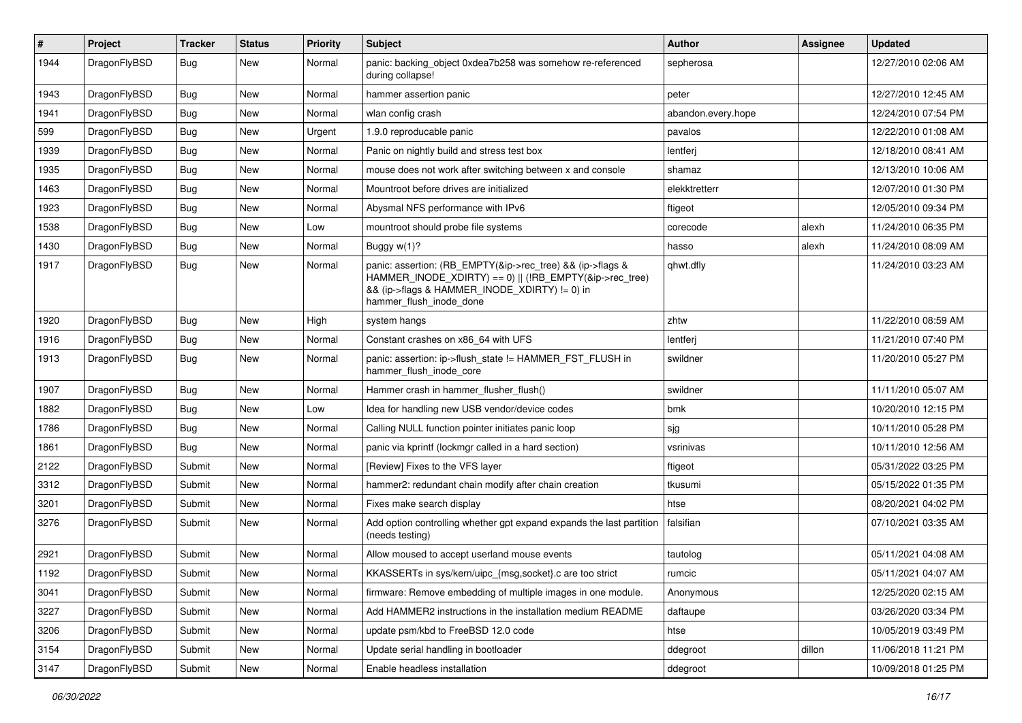| $\sharp$ | Project      | <b>Tracker</b> | <b>Status</b> | <b>Priority</b> | Subject                                                                                                                                                                                           | Author             | Assignee | <b>Updated</b>      |
|----------|--------------|----------------|---------------|-----------------|---------------------------------------------------------------------------------------------------------------------------------------------------------------------------------------------------|--------------------|----------|---------------------|
| 1944     | DragonFlyBSD | Bug            | New           | Normal          | panic: backing object 0xdea7b258 was somehow re-referenced<br>during collapse!                                                                                                                    | sepherosa          |          | 12/27/2010 02:06 AM |
| 1943     | DragonFlyBSD | <b>Bug</b>     | <b>New</b>    | Normal          | hammer assertion panic                                                                                                                                                                            | peter              |          | 12/27/2010 12:45 AM |
| 1941     | DragonFlyBSD | <b>Bug</b>     | New           | Normal          | wlan config crash                                                                                                                                                                                 | abandon.every.hope |          | 12/24/2010 07:54 PM |
| 599      | DragonFlyBSD | <b>Bug</b>     | <b>New</b>    | Urgent          | 1.9.0 reproducable panic                                                                                                                                                                          | pavalos            |          | 12/22/2010 01:08 AM |
| 1939     | DragonFlyBSD | <b>Bug</b>     | <b>New</b>    | Normal          | Panic on nightly build and stress test box                                                                                                                                                        | lentferj           |          | 12/18/2010 08:41 AM |
| 1935     | DragonFlyBSD | <b>Bug</b>     | <b>New</b>    | Normal          | mouse does not work after switching between x and console                                                                                                                                         | shamaz             |          | 12/13/2010 10:06 AM |
| 1463     | DragonFlyBSD | Bug            | New           | Normal          | Mountroot before drives are initialized                                                                                                                                                           | elekktretterr      |          | 12/07/2010 01:30 PM |
| 1923     | DragonFlyBSD | Bug            | New           | Normal          | Abysmal NFS performance with IPv6                                                                                                                                                                 | ftigeot            |          | 12/05/2010 09:34 PM |
| 1538     | DragonFlyBSD | Bug            | <b>New</b>    | Low             | mountroot should probe file systems                                                                                                                                                               | corecode           | alexh    | 11/24/2010 06:35 PM |
| 1430     | DragonFlyBSD | Bug            | New           | Normal          | Buggy $w(1)$ ?                                                                                                                                                                                    | hasso              | alexh    | 11/24/2010 08:09 AM |
| 1917     | DragonFlyBSD | Bug            | New           | Normal          | panic: assertion: (RB_EMPTY(&ip->rec_tree) && (ip->flags &<br>HAMMER_INODE_XDIRTY) == 0)    (!RB_EMPTY(&ip->rec_tree)<br>&& (ip->flags & HAMMER_INODE_XDIRTY) != 0) in<br>hammer_flush_inode_done | qhwt.dfly          |          | 11/24/2010 03:23 AM |
| 1920     | DragonFlyBSD | <b>Bug</b>     | New           | High            | system hangs                                                                                                                                                                                      | zhtw               |          | 11/22/2010 08:59 AM |
| 1916     | DragonFlyBSD | <b>Bug</b>     | New           | Normal          | Constant crashes on x86_64 with UFS                                                                                                                                                               | lentferj           |          | 11/21/2010 07:40 PM |
| 1913     | DragonFlyBSD | Bug            | <b>New</b>    | Normal          | panic: assertion: ip->flush_state != HAMMER_FST_FLUSH in<br>hammer flush inode core                                                                                                               | swildner           |          | 11/20/2010 05:27 PM |
| 1907     | DragonFlyBSD | Bug            | <b>New</b>    | Normal          | Hammer crash in hammer flusher flush()                                                                                                                                                            | swildner           |          | 11/11/2010 05:07 AM |
| 1882     | DragonFlyBSD | <b>Bug</b>     | <b>New</b>    | Low             | Idea for handling new USB vendor/device codes                                                                                                                                                     | bmk                |          | 10/20/2010 12:15 PM |
| 1786     | DragonFlyBSD | Bug            | <b>New</b>    | Normal          | Calling NULL function pointer initiates panic loop                                                                                                                                                | sjg                |          | 10/11/2010 05:28 PM |
| 1861     | DragonFlyBSD | <b>Bug</b>     | <b>New</b>    | Normal          | panic via kprintf (lockmgr called in a hard section)                                                                                                                                              | vsrinivas          |          | 10/11/2010 12:56 AM |
| 2122     | DragonFlyBSD | Submit         | New           | Normal          | [Review] Fixes to the VFS layer                                                                                                                                                                   | ftigeot            |          | 05/31/2022 03:25 PM |
| 3312     | DragonFlyBSD | Submit         | New           | Normal          | hammer2: redundant chain modify after chain creation                                                                                                                                              | tkusumi            |          | 05/15/2022 01:35 PM |
| 3201     | DragonFlyBSD | Submit         | <b>New</b>    | Normal          | Fixes make search display                                                                                                                                                                         | htse               |          | 08/20/2021 04:02 PM |
| 3276     | DragonFlyBSD | Submit         | New           | Normal          | Add option controlling whether gpt expand expands the last partition<br>(needs testing)                                                                                                           | falsifian          |          | 07/10/2021 03:35 AM |
| 2921     | DragonFlyBSD | Submit         | <b>New</b>    | Normal          | Allow moused to accept userland mouse events                                                                                                                                                      | tautolog           |          | 05/11/2021 04:08 AM |
| 1192     | DragonFlyBSD | Submit         | <b>New</b>    | Normal          | KKASSERTs in sys/kern/uipc {msg,socket}.c are too strict                                                                                                                                          | rumcic             |          | 05/11/2021 04:07 AM |
| 3041     | DragonFlyBSD | Submit         | New           | Normal          | firmware: Remove embedding of multiple images in one module.                                                                                                                                      | Anonymous          |          | 12/25/2020 02:15 AM |
| 3227     | DragonFlyBSD | Submit         | New           | Normal          | Add HAMMER2 instructions in the installation medium README                                                                                                                                        | daftaupe           |          | 03/26/2020 03:34 PM |
| 3206     | DragonFlyBSD | Submit         | <b>New</b>    | Normal          | update psm/kbd to FreeBSD 12.0 code                                                                                                                                                               | htse               |          | 10/05/2019 03:49 PM |
| 3154     | DragonFlyBSD | Submit         | New           | Normal          | Update serial handling in bootloader                                                                                                                                                              | ddegroot           | dillon   | 11/06/2018 11:21 PM |
| 3147     | DragonFlyBSD | Submit         | New           | Normal          | Enable headless installation                                                                                                                                                                      | ddegroot           |          | 10/09/2018 01:25 PM |